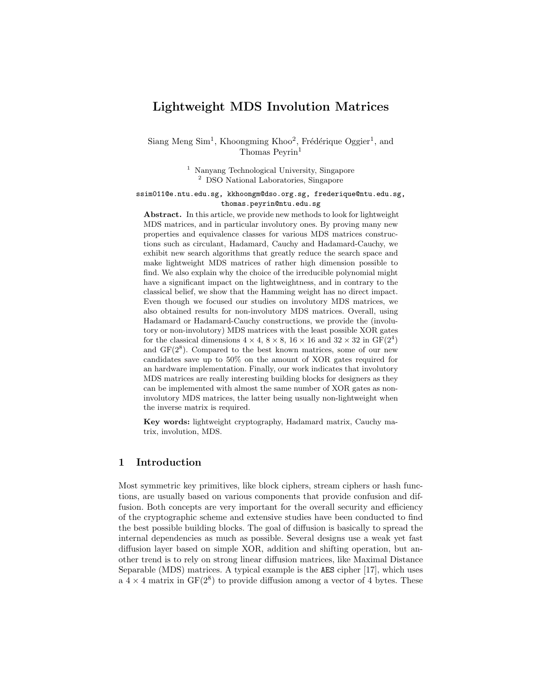# Lightweight MDS Involution Matrices

Siang Meng Sim<sup>1</sup>, Khoongming Khoo<sup>2</sup>, Frédérique Oggier<sup>1</sup>, and Thomas Peyrin<sup>1</sup>

> <sup>1</sup> Nanyang Technological University, Singapore <sup>2</sup> DSO National Laboratories, Singapore

## ssim011@e.ntu.edu.sg, kkhoongm@dso.org.sg, frederique@ntu.edu.sg, thomas.peyrin@ntu.edu.sg

Abstract. In this article, we provide new methods to look for lightweight MDS matrices, and in particular involutory ones. By proving many new properties and equivalence classes for various MDS matrices constructions such as circulant, Hadamard, Cauchy and Hadamard-Cauchy, we exhibit new search algorithms that greatly reduce the search space and make lightweight MDS matrices of rather high dimension possible to find. We also explain why the choice of the irreducible polynomial might have a significant impact on the lightweightness, and in contrary to the classical belief, we show that the Hamming weight has no direct impact. Even though we focused our studies on involutory MDS matrices, we also obtained results for non-involutory MDS matrices. Overall, using Hadamard or Hadamard-Cauchy constructions, we provide the (involutory or non-involutory) MDS matrices with the least possible XOR gates for the classical dimensions  $4 \times 4$ ,  $8 \times 8$ ,  $16 \times 16$  and  $32 \times 32$  in  $GF(2^4)$ and  $GF(2<sup>8</sup>)$ . Compared to the best known matrices, some of our new candidates save up to 50% on the amount of XOR gates required for an hardware implementation. Finally, our work indicates that involutory MDS matrices are really interesting building blocks for designers as they can be implemented with almost the same number of XOR gates as noninvolutory MDS matrices, the latter being usually non-lightweight when the inverse matrix is required.

Key words: lightweight cryptography, Hadamard matrix, Cauchy matrix, involution, MDS.

# 1 Introduction

Most symmetric key primitives, like block ciphers, stream ciphers or hash functions, are usually based on various components that provide confusion and diffusion. Both concepts are very important for the overall security and efficiency of the cryptographic scheme and extensive studies have been conducted to find the best possible building blocks. The goal of diffusion is basically to spread the internal dependencies as much as possible. Several designs use a weak yet fast diffusion layer based on simple XOR, addition and shifting operation, but another trend is to rely on strong linear diffusion matrices, like Maximal Distance Separable (MDS) matrices. A typical example is the AES cipher [17], which uses a  $4 \times 4$  matrix in GF( $2^8$ ) to provide diffusion among a vector of 4 bytes. These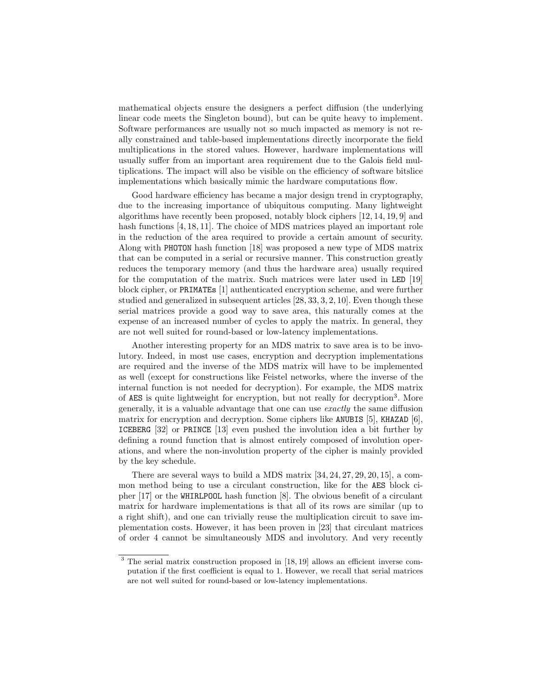mathematical objects ensure the designers a perfect diffusion (the underlying linear code meets the Singleton bound), but can be quite heavy to implement. Software performances are usually not so much impacted as memory is not really constrained and table-based implementations directly incorporate the field multiplications in the stored values. However, hardware implementations will usually suffer from an important area requirement due to the Galois field multiplications. The impact will also be visible on the efficiency of software bitslice implementations which basically mimic the hardware computations flow.

Good hardware efficiency has became a major design trend in cryptography, due to the increasing importance of ubiquitous computing. Many lightweight algorithms have recently been proposed, notably block ciphers [12, 14, 19, 9] and hash functions [4, 18, 11]. The choice of MDS matrices played an important role in the reduction of the area required to provide a certain amount of security. Along with PHOTON hash function [18] was proposed a new type of MDS matrix that can be computed in a serial or recursive manner. This construction greatly reduces the temporary memory (and thus the hardware area) usually required for the computation of the matrix. Such matrices were later used in LED [19] block cipher, or PRIMATEs [1] authenticated encryption scheme, and were further studied and generalized in subsequent articles [28, 33, 3, 2, 10]. Even though these serial matrices provide a good way to save area, this naturally comes at the expense of an increased number of cycles to apply the matrix. In general, they are not well suited for round-based or low-latency implementations.

Another interesting property for an MDS matrix to save area is to be involutory. Indeed, in most use cases, encryption and decryption implementations are required and the inverse of the MDS matrix will have to be implemented as well (except for constructions like Feistel networks, where the inverse of the internal function is not needed for decryption). For example, the MDS matrix of AES is quite lightweight for encryption, but not really for decryption<sup>3</sup>. More generally, it is a valuable advantage that one can use exactly the same diffusion matrix for encryption and decryption. Some ciphers like ANUBIS [5], KHAZAD [6], ICEBERG [32] or PRINCE [13] even pushed the involution idea a bit further by defining a round function that is almost entirely composed of involution operations, and where the non-involution property of the cipher is mainly provided by the key schedule.

There are several ways to build a MDS matrix [34, 24, 27, 29, 20, 15], a common method being to use a circulant construction, like for the AES block cipher [17] or the WHIRLPOOL hash function [8]. The obvious benefit of a circulant matrix for hardware implementations is that all of its rows are similar (up to a right shift), and one can trivially reuse the multiplication circuit to save implementation costs. However, it has been proven in [23] that circulant matrices of order 4 cannot be simultaneously MDS and involutory. And very recently

<sup>3</sup> The serial matrix construction proposed in [18, 19] allows an efficient inverse computation if the first coefficient is equal to 1. However, we recall that serial matrices are not well suited for round-based or low-latency implementations.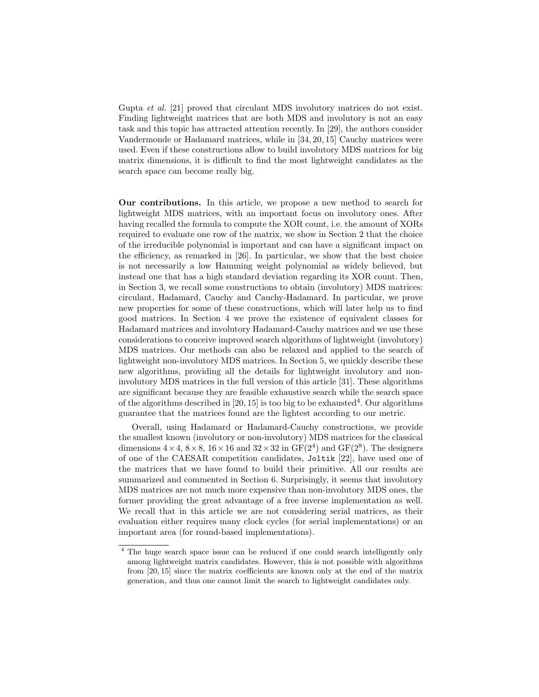Gupta et al. [21] proved that circulant MDS involutory matrices do not exist. Finding lightweight matrices that are both MDS and involutory is not an easy task and this topic has attracted attention recently. In [29], the authors consider Vandermonde or Hadamard matrices, while in [34, 20, 15] Cauchy matrices were used. Even if these constructions allow to build involutory MDS matrices for big matrix dimensions, it is difficult to find the most lightweight candidates as the search space can become really big.

Our contributions. In this article, we propose a new method to search for lightweight MDS matrices, with an important focus on involutory ones. After having recalled the formula to compute the XOR count, i.e. the amount of XORs required to evaluate one row of the matrix, we show in Section 2 that the choice of the irreducible polynomial is important and can have a significant impact on the efficiency, as remarked in [26]. In particular, we show that the best choice is not necessarily a low Hamming weight polynomial as widely believed, but instead one that has a high standard deviation regarding its XOR count. Then, in Section 3, we recall some constructions to obtain (involutory) MDS matrices: circulant, Hadamard, Cauchy and Cauchy-Hadamard. In particular, we prove new properties for some of these constructions, which will later help us to find good matrices. In Section 4 we prove the existence of equivalent classes for Hadamard matrices and involutory Hadamard-Cauchy matrices and we use these considerations to conceive improved search algorithms of lightweight (involutory) MDS matrices. Our methods can also be relaxed and applied to the search of lightweight non-involutory MDS matrices. In Section 5, we quickly describe these new algorithms, providing all the details for lightweight involutory and noninvolutory MDS matrices in the full version of this article [31]. These algorithms are significant because they are feasible exhaustive search while the search space of the algorithms described in  $[20, 15]$  is too big to be exhausted<sup>4</sup>. Our algorithms guarantee that the matrices found are the lightest according to our metric.

Overall, using Hadamard or Hadamard-Cauchy constructions, we provide the smallest known (involutory or non-involutory) MDS matrices for the classical dimensions  $4 \times 4$ ,  $8 \times 8$ ,  $16 \times 16$  and  $32 \times 32$  in  $GF(2^4)$  and  $GF(2^8)$ . The designers of one of the CAESAR competition candidates, Joltik [22], have used one of the matrices that we have found to build their primitive. All our results are summarized and commented in Section 6. Surprisingly, it seems that involutory MDS matrices are not much more expensive than non-involutory MDS ones, the former providing the great advantage of a free inverse implementation as well. We recall that in this article we are not considering serial matrices, as their evaluation either requires many clock cycles (for serial implementations) or an important area (for round-based implementations).

<sup>4</sup> The huge search space issue can be reduced if one could search intelligently only among lightweight matrix candidates. However, this is not possible with algorithms from [20, 15] since the matrix coefficients are known only at the end of the matrix generation, and thus one cannot limit the search to lightweight candidates only.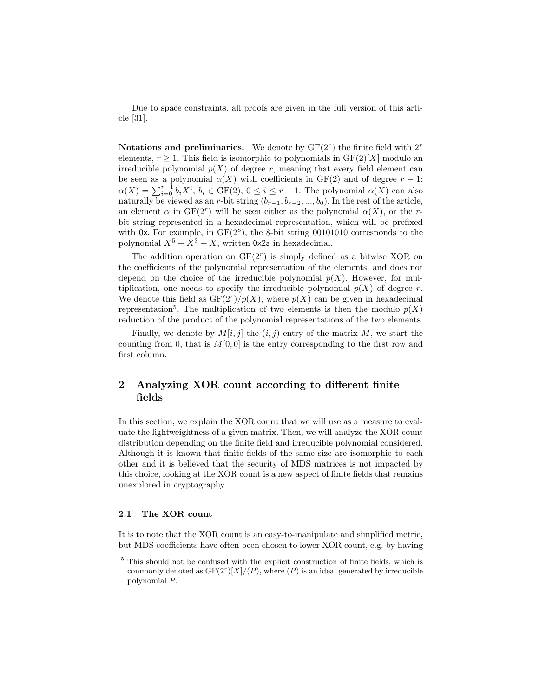Due to space constraints, all proofs are given in the full version of this article [31].

Notations and preliminaries. We denote by  $GF(2<sup>r</sup>)$  the finite field with  $2<sup>r</sup>$ elements,  $r > 1$ . This field is isomorphic to polynomials in  $GF(2)[X]$  modulo an irreducible polynomial  $p(X)$  of degree r, meaning that every field element can be seen as a polynomial  $\alpha(X)$  with coefficients in GF(2) and of degree  $r - 1$ :  $\alpha(X) = \sum_{i=0}^{r-1} b_i X^i$ ,  $b_i \in \text{GF}(2)$ ,  $0 \le i \le r-1$ . The polynomial  $\alpha(X)$  can also naturally be viewed as an r-bit string  $(b_{r-1}, b_{r-2}, ..., b_0)$ . In the rest of the article, an element  $\alpha$  in GF(2<sup>r</sup>) will be seen either as the polynomial  $\alpha(X)$ , or the rbit string represented in a hexadecimal representation, which will be prefixed with  $0x$ . For example, in  $GF(2^8)$ , the 8-bit string 00101010 corresponds to the polynomial  $X^5 + X^3 + X$ , written 0x2a in hexadecimal.

The addition operation on  $GF(2<sup>r</sup>)$  is simply defined as a bitwise XOR on the coefficients of the polynomial representation of the elements, and does not depend on the choice of the irreducible polynomial  $p(X)$ . However, for multiplication, one needs to specify the irreducible polynomial  $p(X)$  of degree r. We denote this field as  $GF(2<sup>r</sup>)/p(X)$ , where  $p(X)$  can be given in hexadecimal representation<sup>5</sup>. The multiplication of two elements is then the modulo  $p(X)$ reduction of the product of the polynomial representations of the two elements.

Finally, we denote by  $M[i, j]$  the  $(i, j)$  entry of the matrix M, we start the counting from 0, that is  $M[0,0]$  is the entry corresponding to the first row and first column.

# 2 Analyzing XOR count according to different finite fields

In this section, we explain the XOR count that we will use as a measure to evaluate the lightweightness of a given matrix. Then, we will analyze the XOR count distribution depending on the finite field and irreducible polynomial considered. Although it is known that finite fields of the same size are isomorphic to each other and it is believed that the security of MDS matrices is not impacted by this choice, looking at the XOR count is a new aspect of finite fields that remains unexplored in cryptography.

## 2.1 The XOR count

It is to note that the XOR count is an easy-to-manipulate and simplified metric, but MDS coefficients have often been chosen to lower XOR count, e.g. by having

<sup>&</sup>lt;sup>5</sup> This should not be confused with the explicit construction of finite fields, which is commonly denoted as  $GF(2<sup>r</sup>)[X]/(P)$ , where  $(P)$  is an ideal generated by irreducible polynomial P.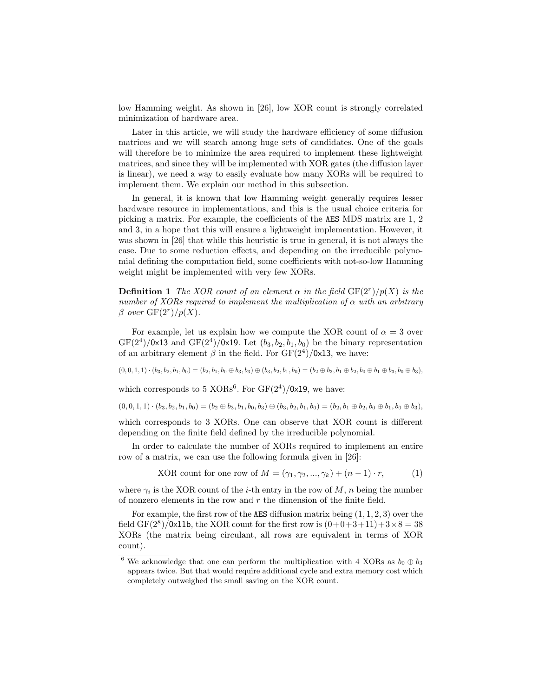low Hamming weight. As shown in [26], low XOR count is strongly correlated minimization of hardware area.

Later in this article, we will study the hardware efficiency of some diffusion matrices and we will search among huge sets of candidates. One of the goals will therefore be to minimize the area required to implement these lightweight matrices, and since they will be implemented with XOR gates (the diffusion layer is linear), we need a way to easily evaluate how many XORs will be required to implement them. We explain our method in this subsection.

In general, it is known that low Hamming weight generally requires lesser hardware resource in implementations, and this is the usual choice criteria for picking a matrix. For example, the coefficients of the AES MDS matrix are 1, 2 and 3, in a hope that this will ensure a lightweight implementation. However, it was shown in [26] that while this heuristic is true in general, it is not always the case. Due to some reduction effects, and depending on the irreducible polynomial defining the computation field, some coefficients with not-so-low Hamming weight might be implemented with very few XORs.

**Definition 1** The XOR count of an element  $\alpha$  in the field  $GF(2^r)/p(X)$  is the number of XORs required to implement the multiplication of  $\alpha$  with an arbitrary  $\beta$  over  $GF(2^r)/p(X)$ .

For example, let us explain how we compute the XOR count of  $\alpha = 3$  over  $GF(2^4)/0x13$  and  $GF(2^4)/0x19$ . Let  $(b_3, b_2, b_1, b_0)$  be the binary representation of an arbitrary element  $\beta$  in the field. For  $GF(2^4)/0 \times 13$ , we have:

 $(0, 0, 1, 1) \cdot (b_3, b_2, b_1, b_0) = (b_2, b_1, b_0 \oplus b_3, b_3) \oplus (b_3, b_2, b_1, b_0) = (b_2 \oplus b_3, b_1 \oplus b_2, b_0 \oplus b_1 \oplus b_3, b_0 \oplus b_3),$ 

which corresponds to 5  $XORs<sup>6</sup>$ . For  $GF(2<sup>4</sup>)/0x19$ , we have:

 $(0, 0, 1, 1) \cdot (b_3, b_2, b_1, b_0) = (b_2 \oplus b_3, b_1, b_0, b_3) \oplus (b_3, b_2, b_1, b_0) = (b_2, b_1 \oplus b_2, b_0 \oplus b_1, b_0 \oplus b_3),$ 

which corresponds to 3 XORs. One can observe that XOR count is different depending on the finite field defined by the irreducible polynomial.

In order to calculate the number of XORs required to implement an entire row of a matrix, we can use the following formula given in [26]:

XOR count for one row of 
$$
M = (\gamma_1, \gamma_2, ..., \gamma_k) + (n-1) \cdot r,
$$
 (1)

where  $\gamma_i$  is the XOR count of the *i*-th entry in the row of M, n being the number of nonzero elements in the row and  $r$  the dimension of the finite field.

For example, the first row of the AES diffusion matrix being  $(1, 1, 2, 3)$  over the field  $GF(2^8)/0x11b$ , the XOR count for the first row is  $(0+0+3+11)+3\times8=38$ XORs (the matrix being circulant, all rows are equivalent in terms of XOR count).

 $^6$  We acknowledge that one can perform the multiplication with 4 XORs as  $b_0\oplus b_3$ appears twice. But that would require additional cycle and extra memory cost which completely outweighed the small saving on the XOR count.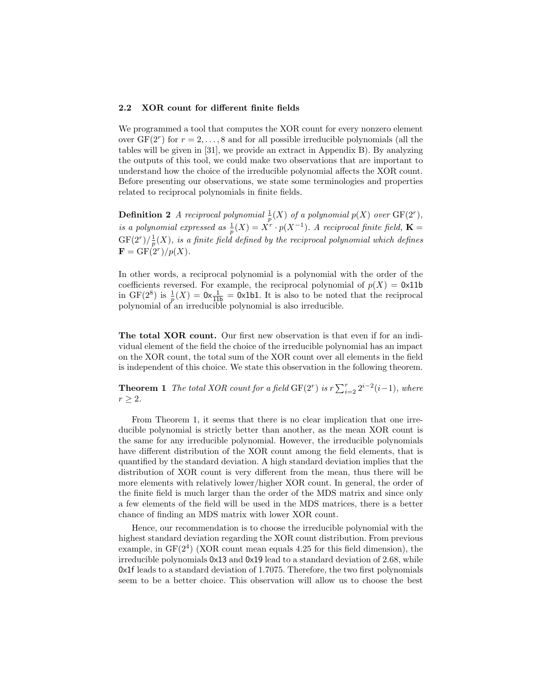#### 2.2 XOR count for different finite fields

We programmed a tool that computes the XOR count for every nonzero element over  $GF(2<sup>r</sup>)$  for  $r = 2, ..., 8$  and for all possible irreducible polynomials (all the tables will be given in [31], we provide an extract in Appendix B). By analyzing the outputs of this tool, we could make two observations that are important to understand how the choice of the irreducible polynomial affects the XOR count. Before presenting our observations, we state some terminologies and properties related to reciprocal polynomials in finite fields.

**Definition 2** A reciprocal polynomial  $\frac{1}{p}(X)$  of a polynomial  $p(X)$  over  $GF(2<sup>r</sup>)$ , is a polynomial expressed as  $\frac{1}{p}(X) = X^r \cdot p(X^{-1})$ . A reciprocal finite field, **K** =  $GF(2<sup>r</sup>)/\frac{1}{p}(X)$ , is a finite field defined by the reciprocal polynomial which defines  $\mathbf{F} = \mathrm{GF}(2^r)/p(X).$ 

In other words, a reciprocal polynomial is a polynomial with the order of the coefficients reversed. For example, the reciprocal polynomial of  $p(X) = 0 \times 11b$ in GF(2<sup>8</sup>) is  $\frac{1}{p}(X) = 0 \times \frac{1}{11b} = 0 \times 1b1$ . It is also to be noted that the reciprocal polynomial of an irreducible polynomial is also irreducible.

The total XOR count. Our first new observation is that even if for an individual element of the field the choice of the irreducible polynomial has an impact on the XOR count, the total sum of the XOR count over all elements in the field is independent of this choice. We state this observation in the following theorem.

**Theorem 1** The total XOR count for a field  $GF(2^r)$  is  $r \sum_{i=2}^r 2^{i-2}(i-1)$ , where  $r \geq 2$ .

From Theorem 1, it seems that there is no clear implication that one irreducible polynomial is strictly better than another, as the mean XOR count is the same for any irreducible polynomial. However, the irreducible polynomials have different distribution of the XOR count among the field elements, that is quantified by the standard deviation. A high standard deviation implies that the distribution of XOR count is very different from the mean, thus there will be more elements with relatively lower/higher XOR count. In general, the order of the finite field is much larger than the order of the MDS matrix and since only a few elements of the field will be used in the MDS matrices, there is a better chance of finding an MDS matrix with lower XOR count.

Hence, our recommendation is to choose the irreducible polynomial with the highest standard deviation regarding the XOR count distribution. From previous example, in  $GF(2<sup>4</sup>)$  (XOR count mean equals 4.25 for this field dimension), the irreducible polynomials  $0\times13$  and  $0\times19$  lead to a standard deviation of 2.68, while 0x1f leads to a standard deviation of 1.7075. Therefore, the two first polynomials seem to be a better choice. This observation will allow us to choose the best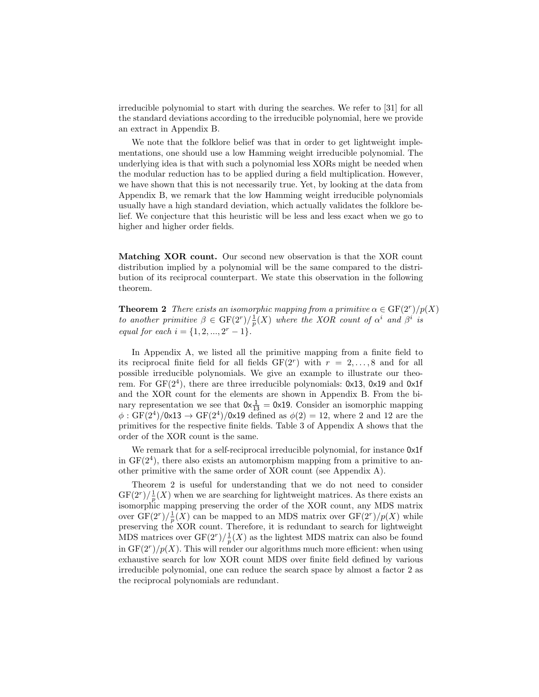irreducible polynomial to start with during the searches. We refer to [31] for all the standard deviations according to the irreducible polynomial, here we provide an extract in Appendix B.

We note that the folklore belief was that in order to get lightweight implementations, one should use a low Hamming weight irreducible polynomial. The underlying idea is that with such a polynomial less XORs might be needed when the modular reduction has to be applied during a field multiplication. However, we have shown that this is not necessarily true. Yet, by looking at the data from Appendix B, we remark that the low Hamming weight irreducible polynomials usually have a high standard deviation, which actually validates the folklore belief. We conjecture that this heuristic will be less and less exact when we go to higher and higher order fields.

Matching XOR count. Our second new observation is that the XOR count distribution implied by a polynomial will be the same compared to the distribution of its reciprocal counterpart. We state this observation in the following theorem.

**Theorem 2** There exists an isomorphic mapping from a primitive  $\alpha \in \text{GF}(2^r)/p(X)$ to another primitive  $\beta \in \mathrm{GF}(2^r)/\frac{1}{p}(X)$  where the XOR count of  $\alpha^i$  and  $\beta^i$  is equal for each  $i = \{1, 2, ..., 2^r - 1\}.$ 

In Appendix A, we listed all the primitive mapping from a finite field to its reciprocal finite field for all fields  $GF(2^r)$  with  $r = 2, ..., 8$  and for all possible irreducible polynomials. We give an example to illustrate our theorem. For  $GF(2^4)$ , there are three irreducible polynomials:  $0 \times 13$ ,  $0 \times 19$  and  $0 \times 16$ and the XOR count for the elements are shown in Appendix B. From the binary representation we see that  $0 \times \frac{1}{13} = 0 \times 19$ . Consider an isomorphic mapping  $\phi: GF(2^4)/0 \times 13 \rightarrow GF(2^4)/0 \times 19$  defined as  $\phi(2) = 12$ , where 2 and 12 are the primitives for the respective finite fields. Table 3 of Appendix A shows that the order of the XOR count is the same.

We remark that for a self-reciprocal irreducible polynomial, for instance 0x1f in  $GF(2<sup>4</sup>)$ , there also exists an automorphism mapping from a primitive to another primitive with the same order of XOR count (see Appendix A).

Theorem 2 is useful for understanding that we do not need to consider  $GF(2<sup>r</sup>)/\frac{1}{p}(X)$  when we are searching for lightweight matrices. As there exists an isomorphic mapping preserving the order of the XOR count, any MDS matrix over  $GF(2^r)/\frac{1}{p}(X)$  can be mapped to an MDS matrix over  $GF(2^r)/p(X)$  while preserving the XOR count. Therefore, it is redundant to search for lightweight MDS matrices over  $GF(2<sup>r</sup>)/\frac{1}{p}(X)$  as the lightest MDS matrix can also be found in  $GF(2<sup>r</sup>)/p(X)$ . This will render our algorithms much more efficient: when using exhaustive search for low XOR count MDS over finite field defined by various irreducible polynomial, one can reduce the search space by almost a factor 2 as the reciprocal polynomials are redundant.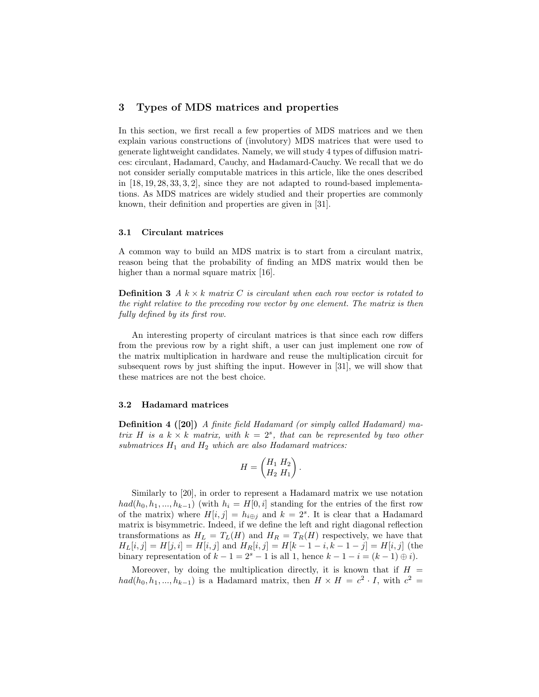# 3 Types of MDS matrices and properties

In this section, we first recall a few properties of MDS matrices and we then explain various constructions of (involutory) MDS matrices that were used to generate lightweight candidates. Namely, we will study 4 types of diffusion matrices: circulant, Hadamard, Cauchy, and Hadamard-Cauchy. We recall that we do not consider serially computable matrices in this article, like the ones described in  $[18, 19, 28, 33, 3, 2]$ , since they are not adapted to round-based implementations. As MDS matrices are widely studied and their properties are commonly known, their definition and properties are given in [31].

## 3.1 Circulant matrices

A common way to build an MDS matrix is to start from a circulant matrix, reason being that the probability of finding an MDS matrix would then be higher than a normal square matrix [16].

**Definition 3** A  $k \times k$  matrix C is circulant when each row vector is rotated to the right relative to the preceding row vector by one element. The matrix is then fully defined by its first row.

An interesting property of circulant matrices is that since each row differs from the previous row by a right shift, a user can just implement one row of the matrix multiplication in hardware and reuse the multiplication circuit for subsequent rows by just shifting the input. However in [31], we will show that these matrices are not the best choice.

### 3.2 Hadamard matrices

**Definition 4** ([20]) A finite field Hadamard (or simply called Hadamard) matrix H is a  $k \times k$  matrix, with  $k = 2<sup>s</sup>$ , that can be represented by two other submatrices  $H_1$  and  $H_2$  which are also Hadamard matrices:

$$
H = \begin{pmatrix} H_1 & H_2 \\ H_2 & H_1 \end{pmatrix}.
$$

Similarly to [20], in order to represent a Hadamard matrix we use notation  $had(h_0, h_1, ..., h_{k-1})$  (with  $h_i = H[0, i]$  standing for the entries of the first row of the matrix) where  $H[i, j] = h_{i \oplus j}$  and  $k = 2<sup>s</sup>$ . It is clear that a Hadamard matrix is bisymmetric. Indeed, if we define the left and right diagonal reflection transformations as  $H_L = T_L(H)$  and  $H_R = T_R(H)$  respectively, we have that  $H_L[i, j] = H[j, i] = H[i, j]$  and  $H_R[i, j] = H[k - 1 - i, k - 1 - j] = H[i, j]$  (the binary representation of  $k - 1 = 2<sup>s</sup> - 1$  is all 1, hence  $k - 1 - i = (k - 1) \oplus i$ .

Moreover, by doing the multiplication directly, it is known that if  $H =$  $had(h_0, h_1, ..., h_{k-1})$  is a Hadamard matrix, then  $H \times H = c^2 \cdot I$ , with  $c^2 =$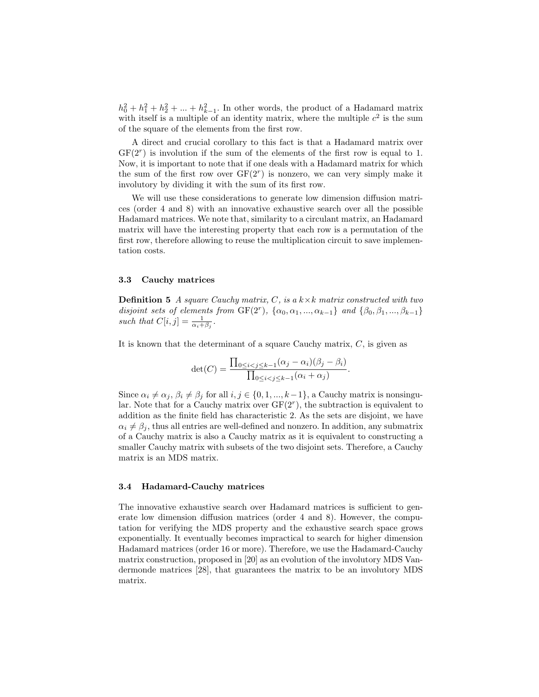$h_0^2 + h_1^2 + h_2^2 + \dots + h_{k-1}^2$ . In other words, the product of a Hadamard matrix with itself is a multiple of an identity matrix, where the multiple  $c^2$  is the sum of the square of the elements from the first row.

A direct and crucial corollary to this fact is that a Hadamard matrix over  $GF(2<sup>r</sup>)$  is involution if the sum of the elements of the first row is equal to 1. Now, it is important to note that if one deals with a Hadamard matrix for which the sum of the first row over  $GF(2<sup>r</sup>)$  is nonzero, we can very simply make it involutory by dividing it with the sum of its first row.

We will use these considerations to generate low dimension diffusion matrices (order 4 and 8) with an innovative exhaustive search over all the possible Hadamard matrices. We note that, similarity to a circulant matrix, an Hadamard matrix will have the interesting property that each row is a permutation of the first row, therefore allowing to reuse the multiplication circuit to save implementation costs.

#### 3.3 Cauchy matrices

**Definition 5** A square Cauchy matrix, C, is a  $k \times k$  matrix constructed with two disjoint sets of elements from  $GF(2^r)$ ,  $\{\alpha_0, \alpha_1, ..., \alpha_{k-1}\}$  and  $\{\beta_0, \beta_1, ..., \beta_{k-1}\}$ such that  $C[i, j] = \frac{1}{\alpha_i + \beta_j}$ .

It is known that the determinant of a square Cauchy matrix,  $C$ , is given as

$$
\det(C) = \frac{\prod_{0 \le i < j \le k-1} (\alpha_j - \alpha_i)(\beta_j - \beta_i)}{\prod_{0 \le i < j \le k-1} (\alpha_i + \alpha_j)}.
$$

Since  $\alpha_i \neq \alpha_j$ ,  $\beta_i \neq \beta_j$  for all  $i, j \in \{0, 1, ..., k-1\}$ , a Cauchy matrix is nonsingular. Note that for a Cauchy matrix over  $GF(2<sup>r</sup>)$ , the subtraction is equivalent to addition as the finite field has characteristic 2. As the sets are disjoint, we have  $\alpha_i \neq \beta_i$ , thus all entries are well-defined and nonzero. In addition, any submatrix of a Cauchy matrix is also a Cauchy matrix as it is equivalent to constructing a smaller Cauchy matrix with subsets of the two disjoint sets. Therefore, a Cauchy matrix is an MDS matrix.

#### 3.4 Hadamard-Cauchy matrices

The innovative exhaustive search over Hadamard matrices is sufficient to generate low dimension diffusion matrices (order 4 and 8). However, the computation for verifying the MDS property and the exhaustive search space grows exponentially. It eventually becomes impractical to search for higher dimension Hadamard matrices (order 16 or more). Therefore, we use the Hadamard-Cauchy matrix construction, proposed in [20] as an evolution of the involutory MDS Vandermonde matrices [28], that guarantees the matrix to be an involutory MDS matrix.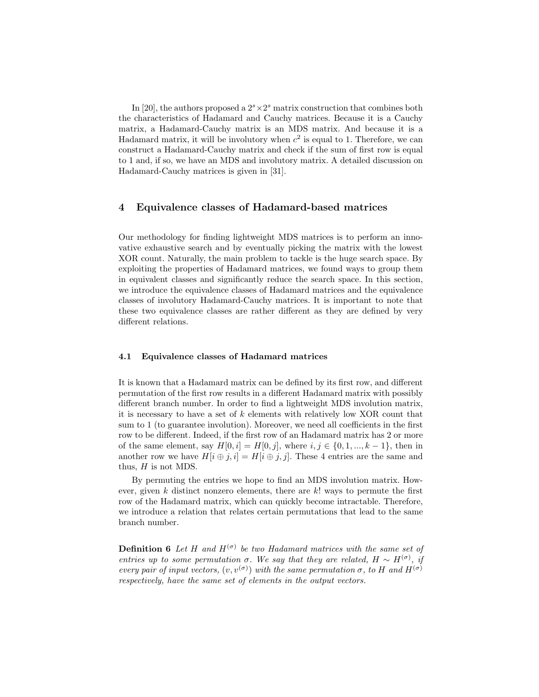In [20], the authors proposed a  $2^{s} \times 2^{s}$  matrix construction that combines both the characteristics of Hadamard and Cauchy matrices. Because it is a Cauchy matrix, a Hadamard-Cauchy matrix is an MDS matrix. And because it is a Hadamard matrix, it will be involutory when  $c^2$  is equal to 1. Therefore, we can construct a Hadamard-Cauchy matrix and check if the sum of first row is equal to 1 and, if so, we have an MDS and involutory matrix. A detailed discussion on Hadamard-Cauchy matrices is given in [31].

## 4 Equivalence classes of Hadamard-based matrices

Our methodology for finding lightweight MDS matrices is to perform an innovative exhaustive search and by eventually picking the matrix with the lowest XOR count. Naturally, the main problem to tackle is the huge search space. By exploiting the properties of Hadamard matrices, we found ways to group them in equivalent classes and significantly reduce the search space. In this section, we introduce the equivalence classes of Hadamard matrices and the equivalence classes of involutory Hadamard-Cauchy matrices. It is important to note that these two equivalence classes are rather different as they are defined by very different relations.

# 4.1 Equivalence classes of Hadamard matrices

It is known that a Hadamard matrix can be defined by its first row, and different permutation of the first row results in a different Hadamard matrix with possibly different branch number. In order to find a lightweight MDS involution matrix, it is necessary to have a set of  $k$  elements with relatively low XOR count that sum to 1 (to guarantee involution). Moreover, we need all coefficients in the first row to be different. Indeed, if the first row of an Hadamard matrix has 2 or more of the same element, say  $H[0, i] = H[0, j]$ , where  $i, j \in \{0, 1, ..., k-1\}$ , then in another row we have  $H[i \oplus j, i] = H[i \oplus j, j]$ . These 4 entries are the same and thus, H is not MDS.

By permuting the entries we hope to find an MDS involution matrix. However, given  $k$  distinct nonzero elements, there are  $k!$  ways to permute the first row of the Hadamard matrix, which can quickly become intractable. Therefore, we introduce a relation that relates certain permutations that lead to the same branch number.

**Definition 6** Let H and  $H^{(\sigma)}$  be two Hadamard matrices with the same set of entries up to some permutation  $\sigma$ . We say that they are related,  $H \sim H^{(\sigma)}$ , if every pair of input vectors,  $(v, v^{(\sigma)})$  with the same permutation  $\sigma$ , to H and  $H^{(\sigma)}$ respectively, have the same set of elements in the output vectors.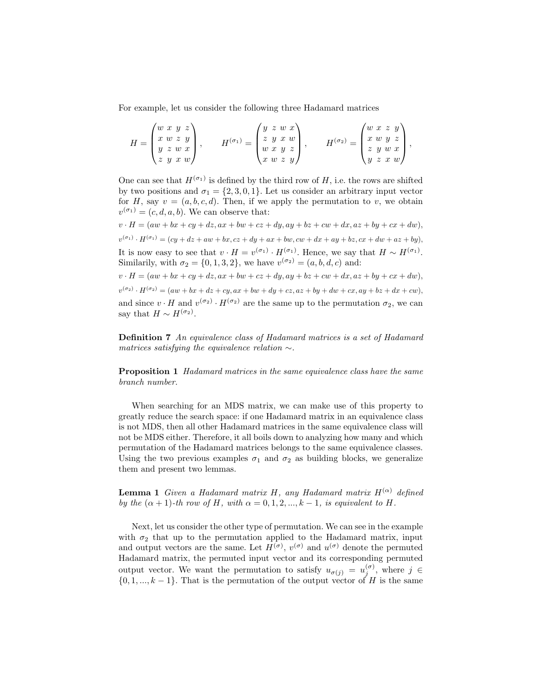For example, let us consider the following three Hadamard matrices

$$
H = \begin{pmatrix} w & x & y & z \\ x & w & z & y \\ y & z & w & x \\ z & y & x & w \end{pmatrix}, \qquad H^{(\sigma_1)} = \begin{pmatrix} y & z & w & x \\ z & y & x & w \\ w & x & y & z \\ x & w & z & y \end{pmatrix}, \qquad H^{(\sigma_2)} = \begin{pmatrix} w & x & z & y \\ x & w & y & z \\ z & y & w & x \\ y & z & x & w \end{pmatrix},
$$

One can see that  $H^{(\sigma_1)}$  is defined by the third row of H, i.e. the rows are shifted by two positions and  $\sigma_1 = \{2, 3, 0, 1\}$ . Let us consider an arbitrary input vector for H, say  $v = (a, b, c, d)$ . Then, if we apply the permutation to v, we obtain  $v^{(\sigma_1)} = (c, d, a, b)$ . We can observe that:

 $v \cdot H = (aw + bx + cy + dz, ax + bw + cz + dy, ay + bz + cw + dx, az + by + cx + dw),$ 

 $v^{(\sigma_1)} \cdot H^{(\sigma_1)} = (cy + dz + aw + bx, cz + dy + ax + bw, cw + dx + ay + bz, cx + dw + az + by),$ It is now easy to see that  $v \cdot H = v^{(\sigma_1)} \cdot H^{(\sigma_1)}$ . Hence, we say that  $H \sim H^{(\sigma_1)}$ . Similarily, with  $\sigma_2 = \{0, 1, 3, 2\}$ , we have  $v^{(\sigma_2)} = (a, b, d, c)$  and:

 $v \cdot H = (aw + bx + cy + dz, ax + bw + cz + dy, ay + bz + cw + dx, az + by + cx + dw),$  $v^{(\sigma_2)} \cdot H^{(\sigma_2)} = (aw + bx + dz + cy, ax + bw + dy + cz, az + by + dw + cx, ay + bz + dx + cw),$ and since  $v \cdot H$  and  $v^{(\sigma_2)} \cdot H^{(\sigma_2)}$  are the same up to the permutation  $\sigma_2$ , we can say that  $H \sim H^{(\sigma_2)}$ .

Definition 7 An equivalence class of Hadamard matrices is a set of Hadamard matrices satisfying the equivalence relation  $\sim$ .

Proposition 1 Hadamard matrices in the same equivalence class have the same branch number.

When searching for an MDS matrix, we can make use of this property to greatly reduce the search space: if one Hadamard matrix in an equivalence class is not MDS, then all other Hadamard matrices in the same equivalence class will not be MDS either. Therefore, it all boils down to analyzing how many and which permutation of the Hadamard matrices belongs to the same equivalence classes. Using the two previous examples  $\sigma_1$  and  $\sigma_2$  as building blocks, we generalize them and present two lemmas.

**Lemma 1** Given a Hadamard matrix H, any Hadamard matrix  $H^{(\alpha)}$  defined by the  $(\alpha + 1)$ -th row of H, with  $\alpha = 0, 1, 2, ..., k - 1$ , is equivalent to H.

Next, let us consider the other type of permutation. We can see in the example with  $\sigma_2$  that up to the permutation applied to the Hadamard matrix, input and output vectors are the same. Let  $H^{(\sigma)}$ ,  $v^{(\sigma)}$  and  $u^{(\sigma)}$  denote the permuted Hadamard matrix, the permuted input vector and its corresponding permuted output vector. We want the permutation to satisfy  $u_{\sigma(j)} = u_j^{(\sigma)}$ , where  $j \in$  $\{0, 1, ..., k-1\}$ . That is the permutation of the output vector of H is the same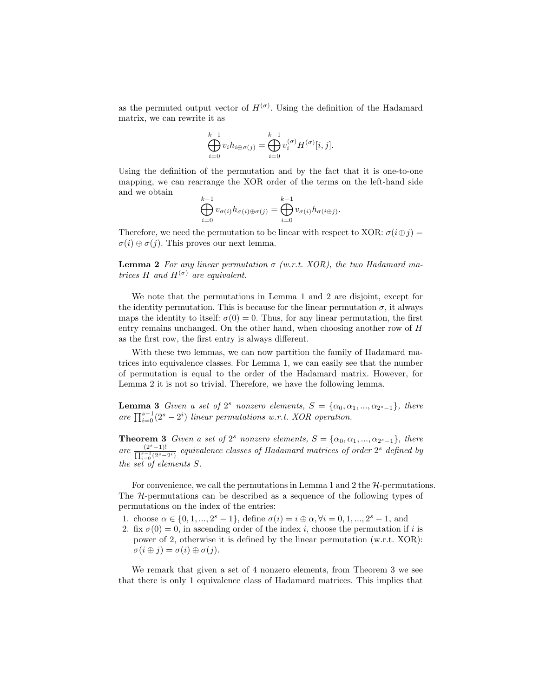as the permuted output vector of  $H^{(\sigma)}$ . Using the definition of the Hadamard matrix, we can rewrite it as

$$
\bigoplus_{i=0}^{k-1} v_i h_{i \oplus \sigma(j)} = \bigoplus_{i=0}^{k-1} v_i^{(\sigma)} H^{(\sigma)}[i, j].
$$

Using the definition of the permutation and by the fact that it is one-to-one mapping, we can rearrange the XOR order of the terms on the left-hand side and we obtain

$$
\bigoplus_{i=0}^{k-1} v_{\sigma(i)} h_{\sigma(i) \oplus \sigma(j)} = \bigoplus_{i=0}^{k-1} v_{\sigma(i)} h_{\sigma(i \oplus j)}.
$$

Therefore, we need the permutation to be linear with respect to XOR:  $\sigma(i \oplus j)$  =  $\sigma(i) \oplus \sigma(j)$ . This proves our next lemma.

**Lemma 2** For any linear permutation  $\sigma$  (w.r.t. XOR), the two Hadamard matrices H and  $H^{(\sigma)}$  are equivalent.

We note that the permutations in Lemma 1 and 2 are disjoint, except for the identity permutation. This is because for the linear permutation  $\sigma$ , it always maps the identity to itself:  $\sigma(0) = 0$ . Thus, for any linear permutation, the first entry remains unchanged. On the other hand, when choosing another row of H as the first row, the first entry is always different.

With these two lemmas, we can now partition the family of Hadamard matrices into equivalence classes. For Lemma 1, we can easily see that the number of permutation is equal to the order of the Hadamard matrix. However, for Lemma 2 it is not so trivial. Therefore, we have the following lemma.

**Lemma 3** Given a set of  $2^s$  nonzero elements,  $S = {\alpha_0, \alpha_1, ..., \alpha_{2^s-1}}$ , there are  $\prod_{i=0}^{s-1} (2^s - 2^i)$  linear permutations w.r.t. XOR operation.

**Theorem 3** Given a set of  $2^s$  nonzero elements,  $S = {\alpha_0, \alpha_1, ..., \alpha_{2^s-1}}$ , there are  $\frac{(2^s-1)!}{\prod_{s=1}^{s-1} (2^s)}$  $\frac{(2^{s}-1)!}{\prod_{i=0}^{s-1}(2^{s}-2^{i})}$  equivalence classes of Hadamard matrices of order  $2^{s}$  defined by the set of elements S.

For convenience, we call the permutations in Lemma 1 and 2 the H-permutations. The H-permutations can be described as a sequence of the following types of permutations on the index of the entries:

- 1. choose  $\alpha \in \{0, 1, ..., 2^s 1\}$ , define  $\sigma(i) = i \oplus \alpha, \forall i = 0, 1, ..., 2^s 1$ , and
- 2. fix  $\sigma(0) = 0$ , in ascending order of the index i, choose the permutation if i is power of 2, otherwise it is defined by the linear permutation (w.r.t. XOR):  $\sigma(i \oplus j) = \sigma(i) \oplus \sigma(j).$

We remark that given a set of 4 nonzero elements, from Theorem 3 we see that there is only 1 equivalence class of Hadamard matrices. This implies that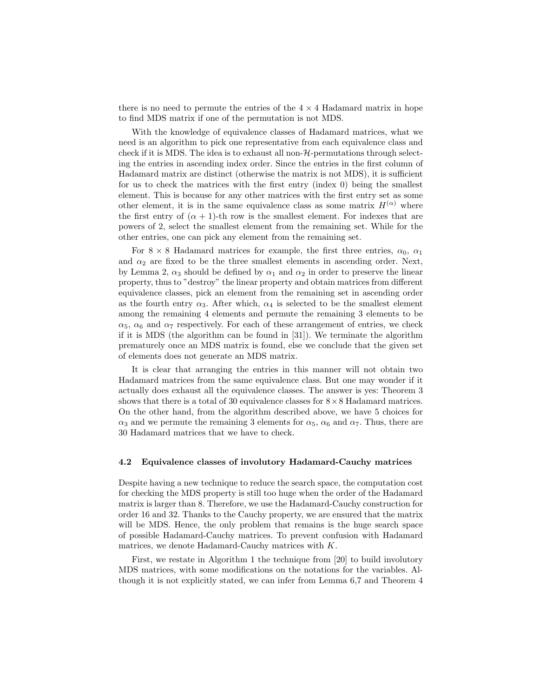there is no need to permute the entries of the  $4 \times 4$  Hadamard matrix in hope to find MDS matrix if one of the permutation is not MDS.

With the knowledge of equivalence classes of Hadamard matrices, what we need is an algorithm to pick one representative from each equivalence class and check if it is MDS. The idea is to exhaust all non- $H$ -permutations through selecting the entries in ascending index order. Since the entries in the first column of Hadamard matrix are distinct (otherwise the matrix is not MDS), it is sufficient for us to check the matrices with the first entry (index 0) being the smallest element. This is because for any other matrices with the first entry set as some other element, it is in the same equivalence class as some matrix  $H^{(\alpha)}$  where the first entry of  $(\alpha + 1)$ -th row is the smallest element. For indexes that are powers of 2, select the smallest element from the remaining set. While for the other entries, one can pick any element from the remaining set.

For  $8 \times 8$  Hadamard matrices for example, the first three entries,  $\alpha_0$ ,  $\alpha_1$ and  $\alpha_2$  are fixed to be the three smallest elements in ascending order. Next, by Lemma 2,  $\alpha_3$  should be defined by  $\alpha_1$  and  $\alpha_2$  in order to preserve the linear property, thus to "destroy" the linear property and obtain matrices from different equivalence classes, pick an element from the remaining set in ascending order as the fourth entry  $\alpha_3$ . After which,  $\alpha_4$  is selected to be the smallest element among the remaining 4 elements and permute the remaining 3 elements to be  $\alpha_5$ ,  $\alpha_6$  and  $\alpha_7$  respectively. For each of these arrangement of entries, we check if it is MDS (the algorithm can be found in [31]). We terminate the algorithm prematurely once an MDS matrix is found, else we conclude that the given set of elements does not generate an MDS matrix.

It is clear that arranging the entries in this manner will not obtain two Hadamard matrices from the same equivalence class. But one may wonder if it actually does exhaust all the equivalence classes. The answer is yes: Theorem 3 shows that there is a total of 30 equivalence classes for  $8 \times 8$  Hadamard matrices. On the other hand, from the algorithm described above, we have 5 choices for  $\alpha_3$  and we permute the remaining 3 elements for  $\alpha_5$ ,  $\alpha_6$  and  $\alpha_7$ . Thus, there are 30 Hadamard matrices that we have to check.

#### 4.2 Equivalence classes of involutory Hadamard-Cauchy matrices

Despite having a new technique to reduce the search space, the computation cost for checking the MDS property is still too huge when the order of the Hadamard matrix is larger than 8. Therefore, we use the Hadamard-Cauchy construction for order 16 and 32. Thanks to the Cauchy property, we are ensured that the matrix will be MDS. Hence, the only problem that remains is the huge search space of possible Hadamard-Cauchy matrices. To prevent confusion with Hadamard matrices, we denote Hadamard-Cauchy matrices with K.

First, we restate in Algorithm 1 the technique from [20] to build involutory MDS matrices, with some modifications on the notations for the variables. Although it is not explicitly stated, we can infer from Lemma 6,7 and Theorem 4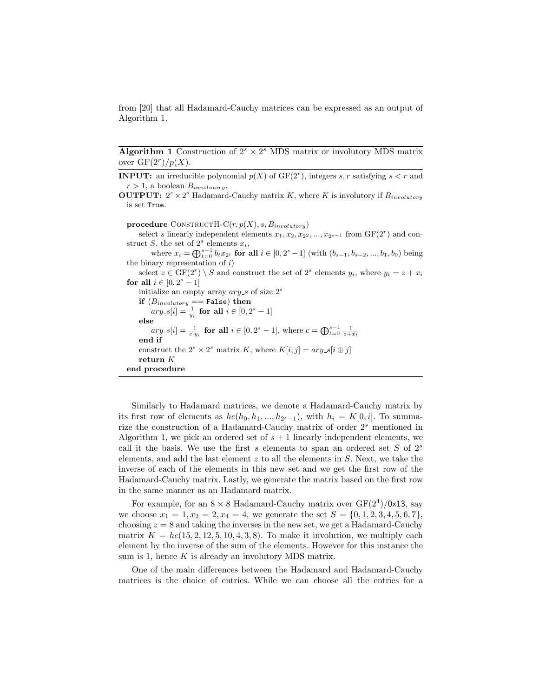from [20] that all Hadamard-Cauchy matrices can be expressed as an output of Algorithm 1.

Algorithm 1 Construction of  $2^s \times 2^s$  MDS matrix or involutory MDS matrix over  $GF(2<sup>r</sup>)/p(X)$ .

**INPUT:** an irreducible polynomial  $p(X)$  of  $GF(2<sup>r</sup>)$ , integers s, r satisfying  $s < r$  and  $r > 1$ , a boolean  $B_{involutory}$ .

**OUTPUT:**  $2^{s} \times 2^{s}$  Hadamard-Cauchy matrix K, where K is involutory if  $B_{involutory}$ is set True.

procedure CONSTRUCTH-C $(r, p(X), s, B_{involutory})$ 

select s linearly independent elements  $x_1, x_2, x_{2^2}, ..., x_{2^{s-1}}$  from  $GF(2^r)$  and construct S, the set of  $2^s$  elements  $x_i$ ,

where  $x_i = \bigoplus_{t=0}^{s-1} b_t x_{2^t}$  for all  $i \in [0, 2^s - 1]$  (with  $(b_{s-1}, b_{s-2}, ..., b_1, b_0)$  being the binary representation of  $i$ )

select  $z \in \text{GF}(2^r) \setminus S$  and construct the set of  $2^s$  elements  $y_i$ , where  $y_i = z + x_i$ for all  $i \in [0, 2^s - 1]$ 

initialize an empty array  $ary\_s$  of size  $2<sup>s</sup>$ 

if  $(B_{involutory} ==$  False) then  $\textit{ary\_s}[i] = \frac{1}{y_i}$  for all  $i \in [0, 2^s - 1]$ else  $\arg_s[i] = \frac{1}{c \cdot y_i}$  for all  $i \in [0, 2^s - 1]$ , where  $c = \bigoplus_{t=0}^{s-1} \frac{1}{z + x_t}$ end if construct the  $2^s \times 2^s$  matrix K, where  $K[i, j] = arg_s[i \oplus j]$ return K end procedure

Similarly to Hadamard matrices, we denote a Hadamard-Cauchy matrix by its first row of elements as  $hc(h_0, h_1, ..., h_{2^s-1})$ , with  $h_i = K[0, i]$ . To summarize the construction of a Hadamard-Cauchy matrix of order 2<sup>s</sup> mentioned in Algorithm 1, we pick an ordered set of  $s + 1$  linearly independent elements, we call it the basis. We use the first s elements to span an ordered set S of  $2^s$ elements, and add the last element  $z$  to all the elements in  $S$ . Next, we take the inverse of each of the elements in this new set and we get the first row of the Hadamard-Cauchy matrix. Lastly, we generate the matrix based on the first row in the same manner as an Hadamard matrix.

For example, for an  $8 \times 8$  Hadamard-Cauchy matrix over  $GF(2^4)/0 \times 13$ , say we choose  $x_1 = 1, x_2 = 2, x_4 = 4$ , we generate the set  $S = \{0, 1, 2, 3, 4, 5, 6, 7\}$ , choosing  $z = 8$  and taking the inverses in the new set, we get a Hadamard-Cauchy matrix  $K = hc(15, 2, 12, 5, 10, 4, 3, 8)$ . To make it involution, we multiply each element by the inverse of the sum of the elements. However for this instance the sum is 1, hence  $K$  is already an involutory MDS matrix.

One of the main differences between the Hadamard and Hadamard-Cauchy matrices is the choice of entries. While we can choose all the entries for a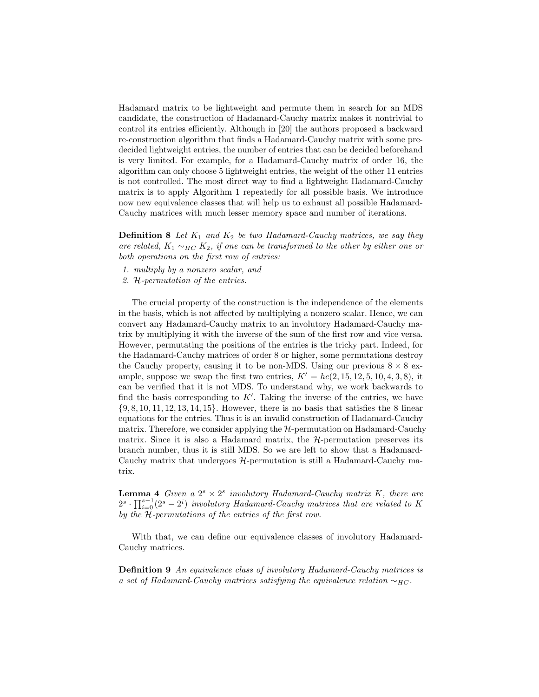Hadamard matrix to be lightweight and permute them in search for an MDS candidate, the construction of Hadamard-Cauchy matrix makes it nontrivial to control its entries efficiently. Although in [20] the authors proposed a backward re-construction algorithm that finds a Hadamard-Cauchy matrix with some predecided lightweight entries, the number of entries that can be decided beforehand is very limited. For example, for a Hadamard-Cauchy matrix of order 16, the algorithm can only choose 5 lightweight entries, the weight of the other 11 entries is not controlled. The most direct way to find a lightweight Hadamard-Cauchy matrix is to apply Algorithm 1 repeatedly for all possible basis. We introduce now new equivalence classes that will help us to exhaust all possible Hadamard-Cauchy matrices with much lesser memory space and number of iterations.

**Definition 8** Let  $K_1$  and  $K_2$  be two Hadamard-Cauchy matrices, we say they are related,  $K_1 \sim_{HC} K_2$ , if one can be transformed to the other by either one or both operations on the first row of entries:

- 1. multiply by a nonzero scalar, and
- 2. H-permutation of the entries.

The crucial property of the construction is the independence of the elements in the basis, which is not affected by multiplying a nonzero scalar. Hence, we can convert any Hadamard-Cauchy matrix to an involutory Hadamard-Cauchy matrix by multiplying it with the inverse of the sum of the first row and vice versa. However, permutating the positions of the entries is the tricky part. Indeed, for the Hadamard-Cauchy matrices of order 8 or higher, some permutations destroy the Cauchy property, causing it to be non-MDS. Using our previous  $8 \times 8$  example, suppose we swap the first two entries,  $K' = hc(2, 15, 12, 5, 10, 4, 3, 8)$ , it can be verified that it is not MDS. To understand why, we work backwards to find the basis corresponding to  $K'$ . Taking the inverse of the entries, we have  $\{9, 8, 10, 11, 12, 13, 14, 15\}$ . However, there is no basis that satisfies the 8 linear equations for the entries. Thus it is an invalid construction of Hadamard-Cauchy matrix. Therefore, we consider applying the H-permutation on Hadamard-Cauchy matrix. Since it is also a Hadamard matrix, the  $H$ -permutation preserves its branch number, thus it is still MDS. So we are left to show that a Hadamard-Cauchy matrix that undergoes  $H$ -permutation is still a Hadamard-Cauchy matrix.

**Lemma 4** Given a  $2^s \times 2^s$  involutory Hadamard-Cauchy matrix K, there are  $2<sup>s</sup> \cdot \prod_{i=0}^{s-1} (2<sup>s</sup> - 2<sup>i</sup>)$  involutory Hadamard-Cauchy matrices that are related to K by the H-permutations of the entries of the first row.

With that, we can define our equivalence classes of involutory Hadamard-Cauchy matrices.

Definition 9 An equivalence class of involutory Hadamard-Cauchy matrices is a set of Hadamard-Cauchy matrices satisfying the equivalence relation  $\sim_{HC}$ .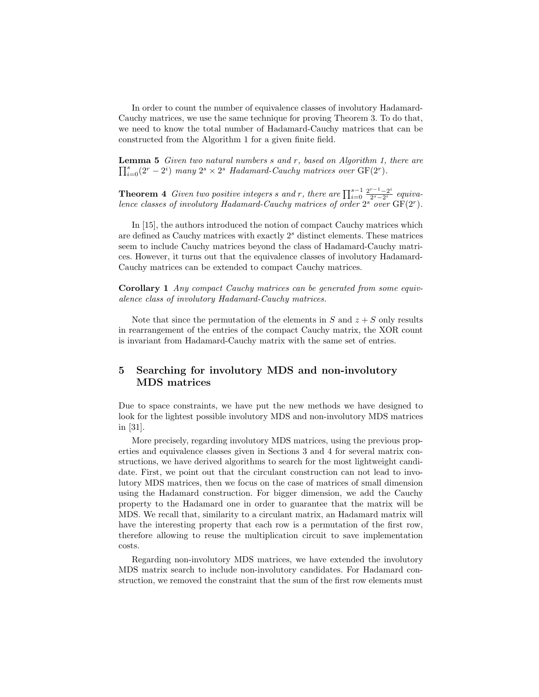In order to count the number of equivalence classes of involutory Hadamard-Cauchy matrices, we use the same technique for proving Theorem 3. To do that, we need to know the total number of Hadamard-Cauchy matrices that can be constructed from the Algorithm 1 for a given finite field.

Lemma 5 Given two natural numbers s and r, based on Algorithm 1, there are  $\prod_{i=0}^{s}(2^{r}-2^{i})$  many  $2^{s} \times 2^{s}$  Hadamard-Cauchy matrices over  $GF(2^{r})$ .

**Theorem 4** Given two positive integers s and r, there are  $\prod_{i=0}^{s-1} \frac{2^{r-1}-2^{i}}{2^{s}-2^{i}}$  $\frac{z^2-2z^2}{2^s-2^i}$  equivalence classes of involutory Hadamard-Cauchy matrices of order  $2^s$  over  $GF(2^r)$ .

In [15], the authors introduced the notion of compact Cauchy matrices which are defined as Cauchy matrices with exactly  $2<sup>s</sup>$  distinct elements. These matrices seem to include Cauchy matrices beyond the class of Hadamard-Cauchy matrices. However, it turns out that the equivalence classes of involutory Hadamard-Cauchy matrices can be extended to compact Cauchy matrices.

Corollary 1 Any compact Cauchy matrices can be generated from some equivalence class of involutory Hadamard-Cauchy matrices.

Note that since the permutation of the elements in  $S$  and  $z + S$  only results in rearrangement of the entries of the compact Cauchy matrix, the XOR count is invariant from Hadamard-Cauchy matrix with the same set of entries.

# 5 Searching for involutory MDS and non-involutory MDS matrices

Due to space constraints, we have put the new methods we have designed to look for the lightest possible involutory MDS and non-involutory MDS matrices in [31].

More precisely, regarding involutory MDS matrices, using the previous properties and equivalence classes given in Sections 3 and 4 for several matrix constructions, we have derived algorithms to search for the most lightweight candidate. First, we point out that the circulant construction can not lead to involutory MDS matrices, then we focus on the case of matrices of small dimension using the Hadamard construction. For bigger dimension, we add the Cauchy property to the Hadamard one in order to guarantee that the matrix will be MDS. We recall that, similarity to a circulant matrix, an Hadamard matrix will have the interesting property that each row is a permutation of the first row, therefore allowing to reuse the multiplication circuit to save implementation costs.

Regarding non-involutory MDS matrices, we have extended the involutory MDS matrix search to include non-involutory candidates. For Hadamard construction, we removed the constraint that the sum of the first row elements must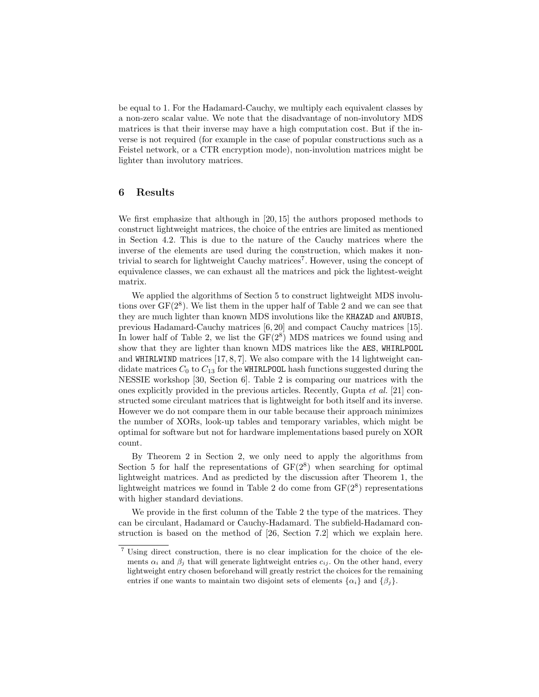be equal to 1. For the Hadamard-Cauchy, we multiply each equivalent classes by a non-zero scalar value. We note that the disadvantage of non-involutory MDS matrices is that their inverse may have a high computation cost. But if the inverse is not required (for example in the case of popular constructions such as a Feistel network, or a CTR encryption mode), non-involution matrices might be lighter than involutory matrices.

# 6 Results

We first emphasize that although in [20, 15] the authors proposed methods to construct lightweight matrices, the choice of the entries are limited as mentioned in Section 4.2. This is due to the nature of the Cauchy matrices where the inverse of the elements are used during the construction, which makes it nontrivial to search for lightweight Cauchy matrices<sup>7</sup>. However, using the concept of equivalence classes, we can exhaust all the matrices and pick the lightest-weight matrix.

We applied the algorithms of Section 5 to construct lightweight MDS involutions over  $GF(2^8)$ . We list them in the upper half of Table 2 and we can see that they are much lighter than known MDS involutions like the KHAZAD and ANUBIS, previous Hadamard-Cauchy matrices [6, 20] and compact Cauchy matrices [15]. In lower half of Table 2, we list the  $GF(2<sup>8</sup>)$  MDS matrices we found using and show that they are lighter than known MDS matrices like the AES, WHIRLPOOL and WHIRLWIND matrices [17, 8, 7]. We also compare with the 14 lightweight candidate matrices  $C_0$  to  $C_{13}$  for the WHIRLPOOL hash functions suggested during the NESSIE workshop [30, Section 6]. Table 2 is comparing our matrices with the ones explicitly provided in the previous articles. Recently, Gupta et al. [21] constructed some circulant matrices that is lightweight for both itself and its inverse. However we do not compare them in our table because their approach minimizes the number of XORs, look-up tables and temporary variables, which might be optimal for software but not for hardware implementations based purely on XOR count.

By Theorem 2 in Section 2, we only need to apply the algorithms from Section 5 for half the representations of  $GF(2^8)$  when searching for optimal lightweight matrices. And as predicted by the discussion after Theorem 1, the lightweight matrices we found in Table 2 do come from  $GF(2^8)$  representations with higher standard deviations.

We provide in the first column of the Table 2 the type of the matrices. They can be circulant, Hadamard or Cauchy-Hadamard. The subfield-Hadamard construction is based on the method of [26, Section 7.2] which we explain here.

<sup>7</sup> Using direct construction, there is no clear implication for the choice of the elements  $\alpha_i$  and  $\beta_i$  that will generate lightweight entries  $c_{ij}$ . On the other hand, every lightweight entry chosen beforehand will greatly restrict the choices for the remaining entries if one wants to maintain two disjoint sets of elements  $\{\alpha_i\}$  and  $\{\beta_j\}$ .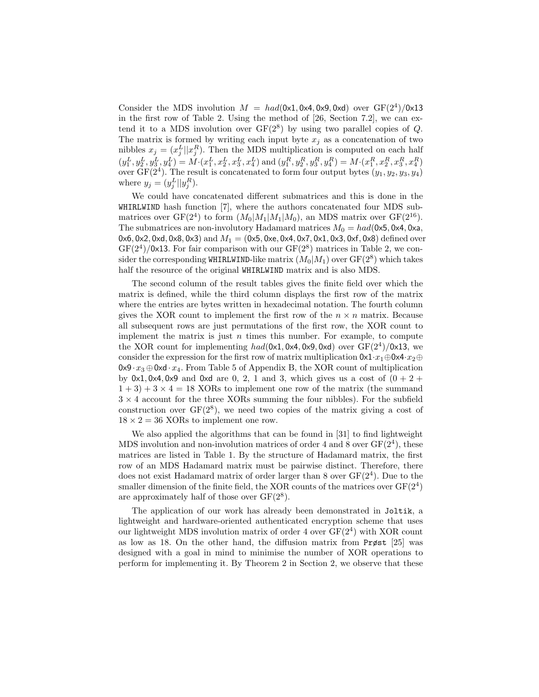Consider the MDS involution  $M = had(0x1, 0x4, 0x9, 0xd)$  over  $GF(2^4)/0x13$ in the first row of Table 2. Using the method of [26, Section 7.2], we can extend it to a MDS involution over  $GF(2^8)$  by using two parallel copies of Q. The matrix is formed by writing each input byte  $x_j$  as a concatenation of two nibbles  $x_j = (x_j^L || x_j^R)$ . Then the MDS multiplication is computed on each half  $(y_1^L, y_2^L, y_3^L, y_4^L) = M \cdot (x_1^L, x_2^L, x_3^L, x_4^L)$  and  $(y_1^R, y_2^R, y_3^R, y_4^R) = M \cdot (x_1^R, x_2^R, x_3^R, x_4^R)$ over  $GF(2<sup>4</sup>)$ . The result is concatenated to form four output bytes  $(y_1, y_2, y_3, y_4)$ where  $y_j = (y_j^L || y_j^R)$ .

We could have concatenated different submatrices and this is done in the WHIRLWIND hash function [7], where the authors concatenated four MDS submatrices over  $GF(2^4)$  to form  $(M_0|M_1|M_1|M_0)$ , an MDS matrix over  $GF(2^{16})$ . The submatrices are non-involutory Hadamard matrices  $M_0 = had(0 \times 5, 0 \times 4, 0 \times a, 0 \times b)$  $0 \times 6$ ,  $0 \times 2$ ,  $0 \times d$ ,  $0 \times 8$ ,  $0 \times 3$ ) and  $M_1 = (0 \times 5, 0 \times 4, 0 \times 7, 0 \times 1, 0 \times 3, 0 \times f, 0 \times 8)$  defined over  $GF(2<sup>4</sup>)/0x$ 13. For fair comparison with our  $GF(2<sup>8</sup>)$  matrices in Table 2, we consider the corresponding WHIRLWIND-like matrix  $(M_0|M_1)$  over  $\mathrm{GF}(2^8)$  which takes half the resource of the original WHIRLWIND matrix and is also MDS.

The second column of the result tables gives the finite field over which the matrix is defined, while the third column displays the first row of the matrix where the entries are bytes written in hexadecimal notation. The fourth column gives the XOR count to implement the first row of the  $n \times n$  matrix. Because all subsequent rows are just permutations of the first row, the XOR count to implement the matrix is just  $n$  times this number. For example, to compute the XOR count for implementing  $had(0x1, 0x4, 0x9, 0xd)$  over  $GF(2^4)/0x13$ , we consider the expression for the first row of matrix multiplication  $0x1 \cdot x_1 \oplus 0x4 \cdot x_2 \oplus$  $0 \times 9 \cdot x_3 \oplus 0 \times d \cdot x_4$ . From Table 5 of Appendix B, the XOR count of multiplication by 0x1, 0x4, 0x9 and 0xd are 0, 2, 1 and 3, which gives us a cost of  $(0 + 2 +$  $1 + 3$ ) + 3 × 4 = 18 XORs to implement one row of the matrix (the summand  $3 \times 4$  account for the three XORs summing the four nibbles). For the subfield construction over  $GF(2^8)$ , we need two copies of the matrix giving a cost of  $18 \times 2 = 36$  XORs to implement one row.

We also applied the algorithms that can be found in [31] to find lightweight MDS involution and non-involution matrices of order 4 and 8 over  $GF(2<sup>4</sup>)$ , these matrices are listed in Table 1. By the structure of Hadamard matrix, the first row of an MDS Hadamard matrix must be pairwise distinct. Therefore, there does not exist Hadamard matrix of order larger than 8 over  $GF(2<sup>4</sup>)$ . Due to the smaller dimension of the finite field, the XOR counts of the matrices over  $GF(2<sup>4</sup>)$ are approximately half of those over  $GF(2^8)$ .

The application of our work has already been demonstrated in Joltik, a lightweight and hardware-oriented authenticated encryption scheme that uses our lightweight MDS involution matrix of order 4 over  $GF(2<sup>4</sup>)$  with XOR count as low as 18. On the other hand, the diffusion matrix from Prøst [25] was designed with a goal in mind to minimise the number of XOR operations to perform for implementing it. By Theorem 2 in Section 2, we observe that these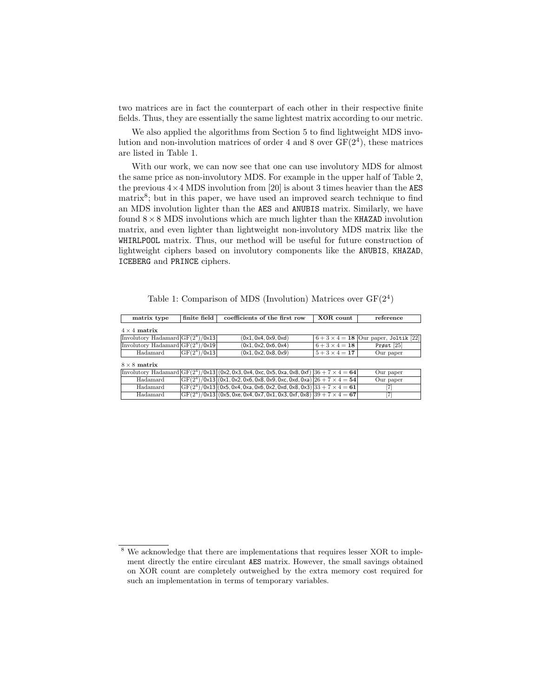two matrices are in fact the counterpart of each other in their respective finite fields. Thus, they are essentially the same lightest matrix according to our metric.

We also applied the algorithms from Section 5 to find lightweight MDS involution and non-involution matrices of order 4 and 8 over  $GF(2<sup>4</sup>)$ , these matrices are listed in Table 1.

With our work, we can now see that one can use involutory MDS for almost the same price as non-involutory MDS. For example in the upper half of Table 2, the previous  $4 \times 4$  MDS involution from [20] is about 3 times heavier than the AES matrix<sup>8</sup>; but in this paper, we have used an improved search technique to find an MDS involution lighter than the AES and ANUBIS matrix. Similarly, we have found  $8 \times 8$  MDS involutions which are much lighter than the KHAZAD involution matrix, and even lighter than lightweight non-involutory MDS matrix like the WHIRLPOOL matrix. Thus, our method will be useful for future construction of lightweight ciphers based on involutory components like the ANUBIS, KHAZAD, ICEBERG and PRINCE ciphers.

Table 1: Comparison of MDS (Involution) Matrices over  $GF(2<sup>4</sup>)$ 

| matrix type                          | finite field     | coefficients of the first row                                                                    | XOR count             | reference                               |
|--------------------------------------|------------------|--------------------------------------------------------------------------------------------------|-----------------------|-----------------------------------------|
| $4 \times 4$ matrix                  |                  |                                                                                                  |                       |                                         |
| Involutory Hadamard $GF(2^4)/0x13$   |                  | (0x1, 0x4, 0x9, 0xd)                                                                             |                       | $6+3\times 4=18$ Our paper, Joltik [22] |
| Involutory Hadamard $ GF(2^4)/0x19 $ |                  | (0x1, 0x2, 0x6, 0x4)                                                                             | $6 + 3 \times 4 = 18$ | Prøst $[25]$                            |
| Hadamard                             | $ GF(2^4)/0x13 $ | (0x1, 0x2, 0x8, 0x9)                                                                             | $5 + 3 \times 4 = 17$ | Our paper                               |
| $8 \times 8$ matrix                  |                  |                                                                                                  |                       |                                         |
|                                      |                  | [Involutory Hadamard $ GF(2^4)/0x13 $ (0x2, 0x3, 0x4, 0xc, 0x5, 0xa, 0x8, 0xf) [36 + 7 x 4 = 64] |                       | Our paper                               |
| Hadamard                             |                  | $ GF(2^4)/0x13 $ (0x1, 0x2, 0x6, 0x8, 0x9, 0xc, 0xd, 0xa) $ 26 + 7 \times 4 = 54 $               |                       | Our paper                               |
| Hadamard                             |                  | $ GF(2^4)/0x13 $ $(0x5, 0x4, 0x5, 0x6, 0x2, 0x4, 0x8, 0x3)$ $ 33 + 7 \times 4 = 61$              |                       |                                         |
| Hadamard                             |                  | $GF(2^4)/0x13 (0x5, 0xe, 0x4, 0x7, 0x1, 0x3, 0xf, 0x8) 39 + 7 \times 4 = 67$                     |                       |                                         |

<sup>8</sup> We acknowledge that there are implementations that requires lesser XOR to implement directly the entire circulant AES matrix. However, the small savings obtained on XOR count are completely outweighed by the extra memory cost required for such an implementation in terms of temporary variables.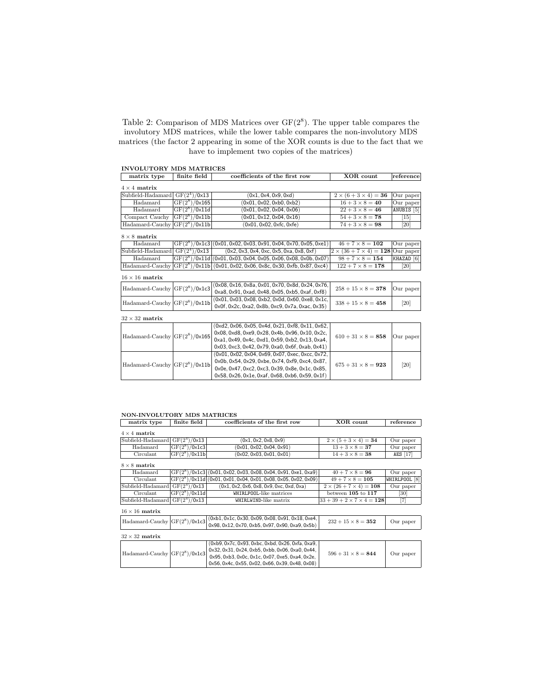Table 2: Comparison of MDS Matrices over  $GF(2<sup>8</sup>)$ . The upper table compares the involutory MDS matrices, while the lower table compares the non-involutory MDS matrices (the factor 2 appearing in some of the XOR counts is due to the fact that we have to implement two copies of the matrices)

## INVOLUTORY MDS MATRICES

| finite field<br>matrix type                                    |                   | coefficients of the first row | XOR count                        | reference             |
|----------------------------------------------------------------|-------------------|-------------------------------|----------------------------------|-----------------------|
| $4 \times 4$ matrix                                            |                   |                               |                                  |                       |
| $\vert$ Subfield-Hadamard $\vert$ GF $(2^4)/0 \times 13 \vert$ |                   | (0x1, 0x4, 0x9, 0xd)          | $2 \times (6 + 3 \times 4) = 36$ | Our paper             |
| Hadamard                                                       | $ GF(2^8)/0x165 $ | (0x01, 0x02, 0xb0, 0xb2)      | $16 + 3 \times 8 = 40$           | Our paper             |
| Hadamard                                                       | $GF(2^8)/0x11d$   | (0x01, 0x02, 0x04, 0x06)      | $22 + 3 \times 8 = 46$           | ANUBIS <sup>[5]</sup> |
| Compact Cauchy                                                 | $ GF(2^8)/0x11b $ | (0x01, 0x12, 0x04, 0x16)      | $54 + 3 \times 8 = 78$           | $[15]$                |
| Hadamard-Cauchy $ GF(2^8)/0x11b $                              |                   | (0x01, 0x02, 0xfc, 0xfe)      | $74 + 3 \times 8 = 98$           | [20]                  |

 $8\times 8$  matrix

| Hadamard |                                         | $ GF(2^8)/0x1c3 $ (0x01, 0x02, 0x03, 0x91, 0x04, 0x70, 0x05, 0xe1)                 | $46 + 7 \times 8 = 102$                       | Our paper    |
|----------|-----------------------------------------|------------------------------------------------------------------------------------|-----------------------------------------------|--------------|
|          | Subfield-Hadamard $GF(2^4)/0 \times 13$ | $(0x2, 0x3, 0x4, 0xc, 0x5, 0xa, 0x8, 0xf)$                                         | $ 2 \times (36 + 7 \times 4) = 128$ Our paper |              |
| Hadamard |                                         | $ GF(2^8)/0x11d $ (0x01, 0x03, 0x04, 0x05, 0x06, 0x08, 0x0b, 0x07)                 | $98 + 7 \times 8 = 154$                       | KHAZAD $[6]$ |
|          |                                         | $Hadamard-Cauchy   GF(28)/0x11b $ (0x01, 0x02, 0x06, 0x8c, 0x30, 0xfb, 0x87, 0xc4) | $122 + 7 \times 8 = 178$                      | [20]         |

| $16 \times 16$ matrix                     |                                                                                                                                                                                                                                                                                     |                                     |      |
|-------------------------------------------|-------------------------------------------------------------------------------------------------------------------------------------------------------------------------------------------------------------------------------------------------------------------------------------|-------------------------------------|------|
| $Hadamard-Cauchy  GF(28)/0x1c3 $          | $ (0x08, 0x16, 0x8a, 0x01, 0x70, 0x8d, 0x24, 0x76,  $<br>0xa8, 0x91, 0xad, 0x48, 0x05, 0xb5, 0xaf, 0xf8)                                                                                                                                                                            | $258 + 15 \times 8 = 378$ Our paper |      |
| Hadamard-Cauchy GF(2 <sup>8</sup> )/0x11b | $(0x01, 0x03, 0x08, 0xb2, 0x0d, 0x60, 0xe8, 0x1c, 0x0x0, 0x0x0, 0x0x0, 0x0x0, 0x0x0, 0x0x0, 0x0x0, 0x0x0, 0x0x0, 0x0x0, 0x0x0, 0x0x0, 0x0x0, 0x0x0, 0x0x0, 0x0x0, 0x0x0, 0x0x0, 0x0x0, 0x0x0, 0x0x0, 0x0x0, 0x0x0, 0x0x0, 0x0x0$<br>0x0f, 0x2c, 0xa2, 0x8b, 0xc9, 0x7a, 0xac, 0x35) | $338 + 15 \times 8 = 458$           | [20] |

| $32 \times 32$ matrix                     |  |                                                                                                                                 |                           |           |
|-------------------------------------------|--|---------------------------------------------------------------------------------------------------------------------------------|---------------------------|-----------|
|                                           |  | (0xd2, 0x06, 0x05, 0x4d, 0x21, 0xf8, 0x11, 0x62,                                                                                |                           |           |
| Hadamard-Cauchy GF(2 <sup>8</sup> )/0x165 |  | 0x08, 0xd8, 0xe9, 0x28, 0x4b, 0x96, 0x10, 0x2c,                                                                                 | $610 + 31 \times 8 = 858$ |           |
|                                           |  | 0xa1, 0x49, 0x4c, 0xd1, 0x59, 0xb2, 0x13, 0xa4,                                                                                 |                           | Our paper |
|                                           |  | $0 \times 03$ , $0 \times 3$ , $0 \times 42$ , $0 \times 79$ , $0 \times 40$ , $0 \times 6f$ , $0 \times 4b$ , $0 \times 41$ )  |                           |           |
|                                           |  | $(0x01, 0x02, 0x04, 0x69, 0x07, 0xec, 0xcc, 0x72,$                                                                              |                           |           |
| Hadamard-Cauchy GF(2 <sup>8</sup> )/0x11b |  | 0x0b, 0x54, 0x29, 0xbe, 0x74, 0xf9, 0xc4, 0x87,                                                                                 | $675 + 31 \times 8 = 923$ | [20]      |
|                                           |  | 0x0e, 0x47, 0xc2, 0xc3, 0x39, 0x8e, 0x1c, 0x85,                                                                                 |                           |           |
|                                           |  | $0 \times 58$ , $0 \times 26$ , $0 \times 1e$ , $0 \times 4f$ , $0 \times 68$ , $0 \times b6$ , $0 \times 59$ , $0 \times 1f$ ) |                           |           |

## NON-INVOLUTORY MDS MATRICES

| matrix type                      | finite field<br>coefficients of the first row |                          | XOR count                        | reference  |
|----------------------------------|-----------------------------------------------|--------------------------|----------------------------------|------------|
| $4 \times 4$ matrix              |                                               |                          |                                  |            |
| Subfield-Hadamard $GF(2^4)/0x13$ |                                               | (0x1.0x2.0x8.0x9)        | $2 \times (5 + 3 \times 4) = 34$ | Our paper  |
| Hadamard                         | $ GF(2^8)/0x1c3 $                             | (0x01.0x02.0x04.0x91)    | $13 + 3 \times 8 = 37$           | Our paper  |
| Circulant                        | $ GF(2^8)/0x11b $                             | (0x02, 0x03, 0x01, 0x01) | $14 + 3 \times 8 = 38$           | AES $[17]$ |

 $8 \times 8$  matrix

| Hadamard                                |                   | $\left[GF(2^8)/0x1c3[(0x01, 0x02, 0x03, 0x08, 0x04, 0x91, 0xe1, 0xa9)]\right]$ | $40 + 7 \times 8 = 96$                  | Our paper     |
|-----------------------------------------|-------------------|--------------------------------------------------------------------------------|-----------------------------------------|---------------|
| Circulant                               |                   | $ GF(2^8)/0x11d (0x01, 0x01, 0x04, 0x01, 0x08, 0x05, 0x02, 0x09) $             | $49 + 7 \times 8 = 105$                 | WHIRLPOOL [8] |
| Subfield-Hadamard $GF(2^4)/0 \times 13$ |                   | $(0x1, 0x2, 0x6, 0x8, 0x9, 0xc, 0xd, 0xa)$                                     | $2 \times (26 + 7 \times 4) = 108$      | Our paper     |
| Circulant                               | $ GF(2^8)/0x11d $ | WHIRLPOOL-like matrices                                                        | between 105 to 117                      | [30]          |
| Subfield-Hadamard $GF(2^4)/0 \times 13$ |                   | WHIRLWIND-like matrix                                                          | $ 33 + 39 + 2 \times 7 \times 4 = 128 $ |               |

#### $16\times16$  matrix

|  | Hadamard-Cauchy $\Big  {\rm GF}(2^8)/0x1c3 \Big  0xb1, 0x1c, 0x30, 0x09, 0x08, 0x91, 0x18, 0xe4, 0x97, 0x90, 0x89, 0x12, 0x70, 0x55, 0x97, 0x90, 0x39, 0x5b \Big $ | $232 + 15 \times 8 = 352$ | Our paper |
|--|--------------------------------------------------------------------------------------------------------------------------------------------------------------------|---------------------------|-----------|
|  |                                                                                                                                                                    |                           |           |

| $32 \times 32$ matrix                    |                                                                                                                                                                                                                                                                                                             |                           |           |
|------------------------------------------|-------------------------------------------------------------------------------------------------------------------------------------------------------------------------------------------------------------------------------------------------------------------------------------------------------------|---------------------------|-----------|
| Hadamard-Cauchy $ GF(2^8)/0 \times 1c3 $ | $(0xb9, 0x7c, 0x93, 0xbc, 0xbd, 0x26, 0xfa, 0xa9,$<br>$\vert$ 0x32, 0x31, 0x24, 0xb5, 0xbb, 0x06, 0xa0, 0x44, $\vert$<br>0x95, 0xb3, 0x0c, 0x1c, 0x07, 0xe5, 0xa4, 0x2e,<br>$0 \times 56$ , $0 \times 4c$ , $0 \times 55$ , $0 \times 02$ , $0 \times 66$ , $0 \times 39$ , $0 \times 48$ , $0 \times 08$ ) | $596 + 31 \times 8 = 844$ | Our paper |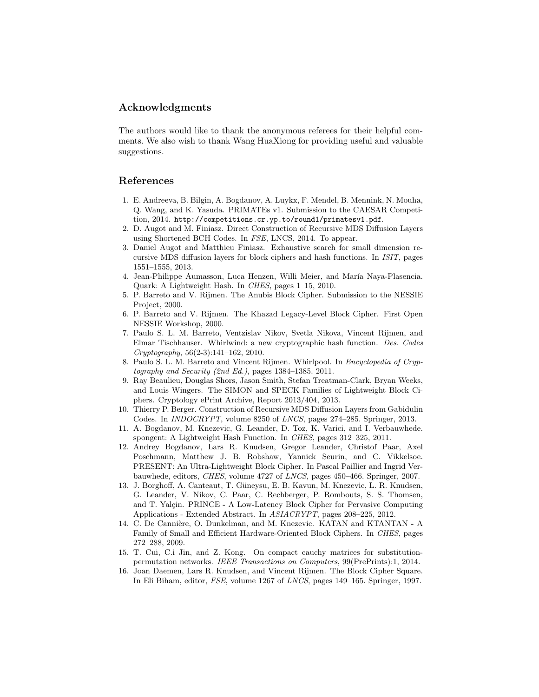# Acknowledgments

The authors would like to thank the anonymous referees for their helpful comments. We also wish to thank Wang HuaXiong for providing useful and valuable suggestions.

# References

- 1. E. Andreeva, B. Bilgin, A. Bogdanov, A. Luykx, F. Mendel, B. Mennink, N. Mouha, Q. Wang, and K. Yasuda. PRIMATEs v1. Submission to the CAESAR Competition, 2014. http://competitions.cr.yp.to/round1/primatesv1.pdf.
- 2. D. Augot and M. Finiasz. Direct Construction of Recursive MDS Diffusion Layers using Shortened BCH Codes. In FSE, LNCS, 2014. To appear.
- 3. Daniel Augot and Matthieu Finiasz. Exhaustive search for small dimension recursive MDS diffusion layers for block ciphers and hash functions. In ISIT, pages 1551–1555, 2013.
- 4. Jean-Philippe Aumasson, Luca Henzen, Willi Meier, and María Naya-Plasencia. Quark: A Lightweight Hash. In CHES, pages 1–15, 2010.
- 5. P. Barreto and V. Rijmen. The Anubis Block Cipher. Submission to the NESSIE Project, 2000.
- 6. P. Barreto and V. Rijmen. The Khazad Legacy-Level Block Cipher. First Open NESSIE Workshop, 2000.
- 7. Paulo S. L. M. Barreto, Ventzislav Nikov, Svetla Nikova, Vincent Rijmen, and Elmar Tischhauser. Whirlwind: a new cryptographic hash function. Des. Codes  $Cryptography, 56(2-3):141-162, 2010.$
- 8. Paulo S. L. M. Barreto and Vincent Rijmen. Whirlpool. In Encyclopedia of Cryptography and Security (2nd Ed.), pages 1384–1385. 2011.
- 9. Ray Beaulieu, Douglas Shors, Jason Smith, Stefan Treatman-Clark, Bryan Weeks, and Louis Wingers. The SIMON and SPECK Families of Lightweight Block Ciphers. Cryptology ePrint Archive, Report 2013/404, 2013.
- 10. Thierry P. Berger. Construction of Recursive MDS Diffusion Layers from Gabidulin Codes. In INDOCRYPT, volume 8250 of LNCS, pages 274–285. Springer, 2013.
- 11. A. Bogdanov, M. Knezevic, G. Leander, D. Toz, K. Varici, and I. Verbauwhede. spongent: A Lightweight Hash Function. In CHES, pages 312–325, 2011.
- 12. Andrey Bogdanov, Lars R. Knudsen, Gregor Leander, Christof Paar, Axel Poschmann, Matthew J. B. Robshaw, Yannick Seurin, and C. Vikkelsoe. PRESENT: An Ultra-Lightweight Block Cipher. In Pascal Paillier and Ingrid Verbauwhede, editors, CHES, volume 4727 of LNCS, pages 450–466. Springer, 2007.
- 13. J. Borghoff, A. Canteaut, T. G¨uneysu, E. B. Kavun, M. Knezevic, L. R. Knudsen, G. Leander, V. Nikov, C. Paar, C. Rechberger, P. Rombouts, S. S. Thomsen, and T. Yalçin. PRINCE - A Low-Latency Block Cipher for Pervasive Computing Applications - Extended Abstract. In ASIACRYPT, pages 208–225, 2012.
- 14. C. De Cannière, O. Dunkelman, and M. Knezevic. KATAN and KTANTAN A Family of Small and Efficient Hardware-Oriented Block Ciphers. In CHES, pages 272–288, 2009.
- 15. T. Cui, C.i Jin, and Z. Kong. On compact cauchy matrices for substitutionpermutation networks. IEEE Transactions on Computers, 99(PrePrints):1, 2014.
- 16. Joan Daemen, Lars R. Knudsen, and Vincent Rijmen. The Block Cipher Square. In Eli Biham, editor, FSE, volume 1267 of LNCS, pages 149–165. Springer, 1997.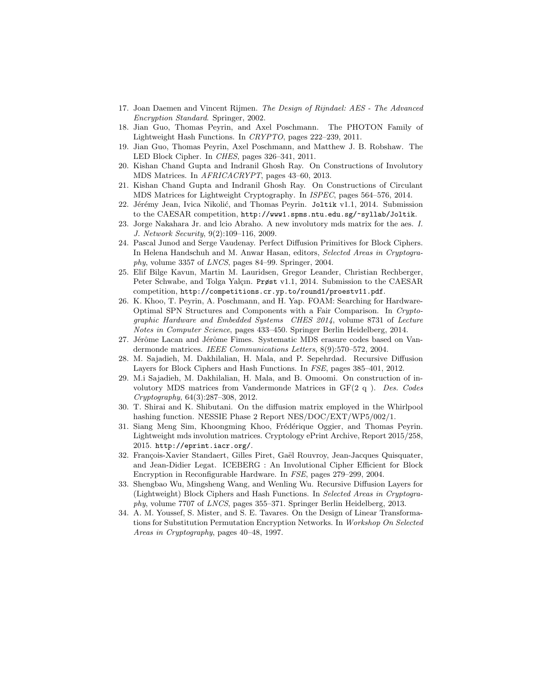- 17. Joan Daemen and Vincent Rijmen. The Design of Rijndael: AES The Advanced Encryption Standard. Springer, 2002.
- 18. Jian Guo, Thomas Peyrin, and Axel Poschmann. The PHOTON Family of Lightweight Hash Functions. In CRYPTO, pages 222–239, 2011.
- 19. Jian Guo, Thomas Peyrin, Axel Poschmann, and Matthew J. B. Robshaw. The LED Block Cipher. In CHES, pages 326–341, 2011.
- 20. Kishan Chand Gupta and Indranil Ghosh Ray. On Constructions of Involutory MDS Matrices. In AFRICACRYPT, pages 43–60, 2013.
- 21. Kishan Chand Gupta and Indranil Ghosh Ray. On Constructions of Circulant MDS Matrices for Lightweight Cryptography. In ISPEC, pages 564–576, 2014.
- 22. Jérémy Jean, Ivica Nikolić, and Thomas Peyrin. Joltik v1.1, 2014. Submission to the CAESAR competition, http://www1.spms.ntu.edu.sg/~syllab/Joltik.
- 23. Jorge Nakahara Jr. and lcio Abraho. A new involutory mds matrix for the aes. I. J. Network Security, 9(2):109–116, 2009.
- 24. Pascal Junod and Serge Vaudenay. Perfect Diffusion Primitives for Block Ciphers. In Helena Handschuh and M. Anwar Hasan, editors, Selected Areas in Cryptography, volume 3357 of LNCS, pages 84–99. Springer, 2004.
- 25. Elif Bilge Kavun, Martin M. Lauridsen, Gregor Leander, Christian Rechberger, Peter Schwabe, and Tolga Yalçın. Prøst v1.1, 2014. Submission to the CAESAR competition, http://competitions.cr.yp.to/round1/proestv11.pdf.
- 26. K. Khoo, T. Peyrin, A. Poschmann, and H. Yap. FOAM: Searching for Hardware-Optimal SPN Structures and Components with a Fair Comparison. In Cryptographic Hardware and Embedded Systems CHES 2014, volume 8731 of Lecture Notes in Computer Science, pages 433–450. Springer Berlin Heidelberg, 2014.
- 27. Jérôme Lacan and Jérôme Fimes. Systematic MDS erasure codes based on Vandermonde matrices. IEEE Communications Letters, 8(9):570–572, 2004.
- 28. M. Sajadieh, M. Dakhilalian, H. Mala, and P. Sepehrdad. Recursive Diffusion Layers for Block Ciphers and Hash Functions. In FSE, pages 385–401, 2012.
- 29. M.i Sajadieh, M. Dakhilalian, H. Mala, and B. Omoomi. On construction of involutory MDS matrices from Vandermonde Matrices in GF(2 q ). Des. Codes Cryptography, 64(3):287–308, 2012.
- 30. T. Shirai and K. Shibutani. On the diffusion matrix employed in the Whirlpool hashing function. NESSIE Phase 2 Report NES/DOC/EXT/WP5/002/1.
- 31. Siang Meng Sim, Khoongming Khoo, Frédérique Oggier, and Thomas Peyrin. Lightweight mds involution matrices. Cryptology ePrint Archive, Report 2015/258, 2015. http://eprint.iacr.org/.
- 32. François-Xavier Standaert, Gilles Piret, Gaël Rouvroy, Jean-Jacques Quisquater, and Jean-Didier Legat. ICEBERG : An Involutional Cipher Efficient for Block Encryption in Reconfigurable Hardware. In FSE, pages 279–299, 2004.
- 33. Shengbao Wu, Mingsheng Wang, and Wenling Wu. Recursive Diffusion Layers for (Lightweight) Block Ciphers and Hash Functions. In Selected Areas in Cryptography, volume 7707 of LNCS, pages 355–371. Springer Berlin Heidelberg, 2013.
- 34. A. M. Youssef, S. Mister, and S. E. Tavares. On the Design of Linear Transformations for Substitution Permutation Encryption Networks. In Workshop On Selected Areas in Cryptography, pages 40–48, 1997.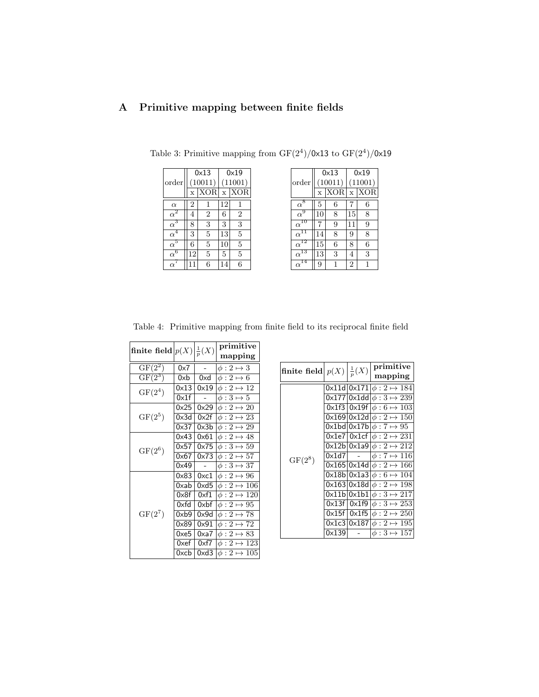# A Primitive mapping between finite fields

|                  |                | 0x13           | 0x19        |                |  |  |
|------------------|----------------|----------------|-------------|----------------|--|--|
| order            |                | (10011)        |             | (11001)        |  |  |
|                  | $\bar{x}$      | <b>XOR</b>     | $\mathbf x$ | <b>XOR</b>     |  |  |
| $\alpha$         | $\overline{2}$ | 1              | 12          |                |  |  |
| $\alpha^2$       | 4              | $\overline{2}$ | 6           | $\overline{2}$ |  |  |
| $\alpha^3$       | 8              | 3              | 3           | 3              |  |  |
| $\alpha^4$       | 3              | 5              | 13          | $\overline{5}$ |  |  |
| $\alpha^5$       | 6              | 5              | 10          | 5              |  |  |
| $\bar{\alpha}^6$ | 12             | 5              | 5           | 5              |  |  |
|                  |                | 6              |             | ճ              |  |  |

 $\vert \text{order} \vert \vert$  (10011)  $0x13$   $0x19$  $(11001)$ x XOR x XOR  $\alpha^8$ 5 6 7 6  $\overline{\alpha}^9$ 10 8 15 8  $\alpha^{10}$  $\boxed{9}$  11  $\overline{\alpha^{\mathrm{II}}}$ <sup>11</sup> 14 8 9 8  $\overline{\alpha^{12}}$  $\begin{array}{|c|c|c|c|c|} \hline 15 & 6 & 8 & 6 \\ \hline \end{array}$  $\overline{\alpha^{13}}$ 13 3 4 3  $\overline{\alpha^{14}}$  $\boxed{9}$  1 2 1

Table 4: Primitive mapping from finite field to its reciprocal finite field

Table 3: Primitive mapping from  $GF(2^4)/0 \times 13$  to  $GF(2^4)/0 \times 19$ 

| finite field $p(X) \left  \frac{1}{n}(X) \right $ |                |                     | primitive             |
|---------------------------------------------------|----------------|---------------------|-----------------------|
|                                                   |                |                     | mapping               |
| $\overline{{\rm GF}(2^2)}$                        | $0\times 7$    |                     | $\phi: 2 \mapsto 3$   |
| $\mathrm{GF}(2^3)$                                | 0xb            | 0 <sub>xd</sub>     | $\phi: 2 \mapsto 6$   |
| $GF(2^4)$                                         | 0x13           | $0\times19$         | $\phi: 2 \mapsto 12$  |
|                                                   | 0x1f           |                     | $\phi:3\mapsto 5$     |
|                                                   | $0\times25$    | $0\times 29$        | $\phi: 2 \mapsto 20$  |
| $GF(2^5)$                                         | $0 \times 3$ d | 0x2f                | $\phi: 2 \mapsto 23$  |
|                                                   | 0x37           | 0x3b                | $\phi: 2 \mapsto 29$  |
|                                                   | 0x43           | $0\times 61$        | $\phi: 2 \mapsto 48$  |
| $GF(2^6)$                                         | $0\times 57$   | $0\times 75$        | $\phi:3\mapsto 59$    |
|                                                   | $0\times 67$   | $0\times 73$        | $\phi: 2 \mapsto 57$  |
|                                                   | $0\times 49$   |                     | $\phi:3\mapsto 37$    |
|                                                   | $0\times83$    | 0xc1                | $\phi: 2 \mapsto 96$  |
|                                                   | 0xab           | $0 \times d5$       | $\phi: 2 \mapsto 106$ |
|                                                   | $0 \times 8f$  | $0\times f1$        | $\phi: 2 \mapsto 120$ |
|                                                   | $0 \times fd$  | $0$ <sub>x</sub> bf | $\phi: 2 \mapsto 95$  |
| $GF(2^7)$                                         | $0 \times b9$  | $0 \times 9d$       | $\phi: 2 \mapsto 78$  |
|                                                   | $0\times89$    | $0\times91$         | $\phi: 2 \mapsto 72$  |
|                                                   | 0xe5           | 0xa7                | $\phi: 2 \mapsto 83$  |
|                                                   | 0xef           | $0\times$ f7        | $\phi: 2 \mapsto 123$ |
|                                                   | 0xcb           | $0 \times d3$       | $\phi: 2 \mapsto 105$ |

| finite field $p(X)$ |              | $\frac{1}{p}(X)$                   | primitive                                           |
|---------------------|--------------|------------------------------------|-----------------------------------------------------|
|                     |              |                                    | mapping                                             |
|                     |              |                                    | $0 \times 11d$ $0 \times 171$ $\phi: 2 \mapsto 184$ |
|                     |              | $0x177$ $0x1$ dd $ $               | $\phi:3\mapsto 239$                                 |
|                     | 0x1f3        | $0\times 19f$                      | $\phi: 6 \mapsto 103$                               |
|                     |              | $0x169$ $0x12d$                    | $\phi: 2 \mapsto 150$                               |
|                     |              | 0x1bd 0x17b                        | $\phi: 7 \mapsto 95$                                |
|                     | 0x1e7        | $0 \times 1$ cf                    | $\phi: 2 \mapsto 231$                               |
|                     |              | $0x12b$ $0x1a9$                    | $\phi: 2 \mapsto 212$                               |
| $GF(2^8)$           | 0x1d7        |                                    | $\phi: 7 \mapsto 116$                               |
|                     |              |                                    | $0\times165$ $0\times14d$ $\phi: 2 \mapsto 166$     |
|                     |              | 0x18b 0x1a3                        | $\phi: 6 \mapsto 104$                               |
|                     |              | $0 \times 163$ $0 \times 18$ d $ $ | $\phi: 2 \mapsto 198$                               |
|                     |              | $0x11b$ $0x1b1$                    | $\phi:3\mapsto 217$                                 |
|                     | 0x13f        | 0x1f9                              | $\phi: 3 \mapsto 253$                               |
|                     | 0×15f        | $0\times1f5$                       | $\phi: 2 \mapsto 250$                               |
|                     | 0x1c3        | 0x187                              | $\phi: 2 \mapsto 195$                               |
|                     | $0\times139$ |                                    | $:3 \mapsto 157$<br>φ                               |
|                     |              |                                    |                                                     |